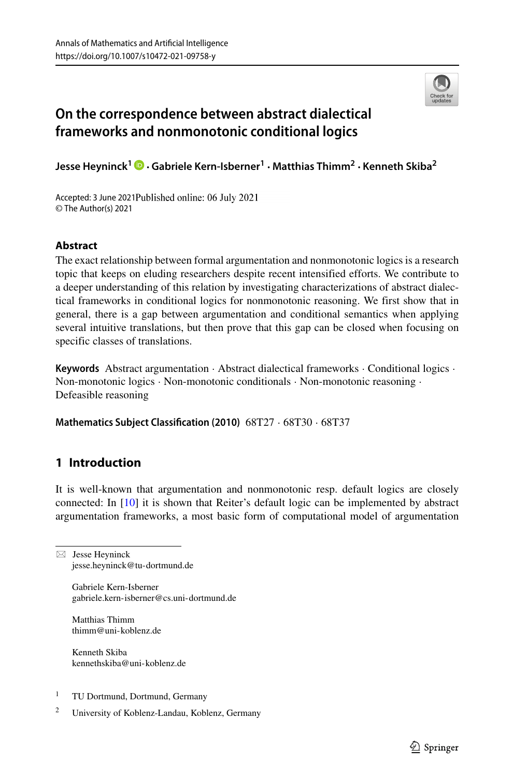

# **On the correspondence between abstract dialectical frameworks and nonmonotonic conditional logics**

**Jesse Heyninck<sup>1</sup> ·Gabriele Kern-Isberner<sup>1</sup> · Matthias Thimm<sup>2</sup> · Kenneth Skiba<sup>2</sup>**

Accepted: 3 June 2021Published online: 06 July 2021 © The Author(s) 2021

# **Abstract**

The exact relationship between formal argumentation and nonmonotonic logics is a research topic that keeps on eluding researchers despite recent intensified efforts. We contribute to a deeper understanding of this relation by investigating characterizations of abstract dialectical frameworks in conditional logics for nonmonotonic reasoning. We first show that in general, there is a gap between argumentation and conditional semantics when applying several intuitive translations, but then prove that this gap can be closed when focusing on specific classes of translations.

**Keywords** Abstract argumentation · Abstract dialectical frameworks · Conditional logics · Non-monotonic logics · Non-monotonic conditionals · Non-monotonic reasoning · Defeasible reasoning

**Mathematics Subject Classification (2010)** 68T27 · 68T30 · 68T37

# **1 Introduction**

It is well-known that argumentation and nonmonotonic resp. default logics are closely connected: In [\[10\]](#page-23-0) it is shown that Reiter's default logic can be implemented by abstract argumentation frameworks, a most basic form of computational model of argumentation

 $\boxtimes$  Jesse Heyninck [jesse.heyninck@tu-dortmund.de](mailto: jesse.heyninck@tu-dortmund.de)

> Gabriele Kern-Isberner [gabriele.kern-isberner@cs.uni-dortmund.de](mailto: gabriele.kern-isberner@cs.uni-dortmund.de)

Matthias Thimm [thimm@uni-koblenz.de](mailto: thimm@uni-koblenz.de)

Kenneth Skiba [kennethskiba@uni-koblenz.de](mailto: kennethskiba@uni-koblenz.de)

- <sup>1</sup> TU Dortmund, Dortmund, Germany
- <sup>2</sup> University of Koblenz-Landau, Koblenz, Germany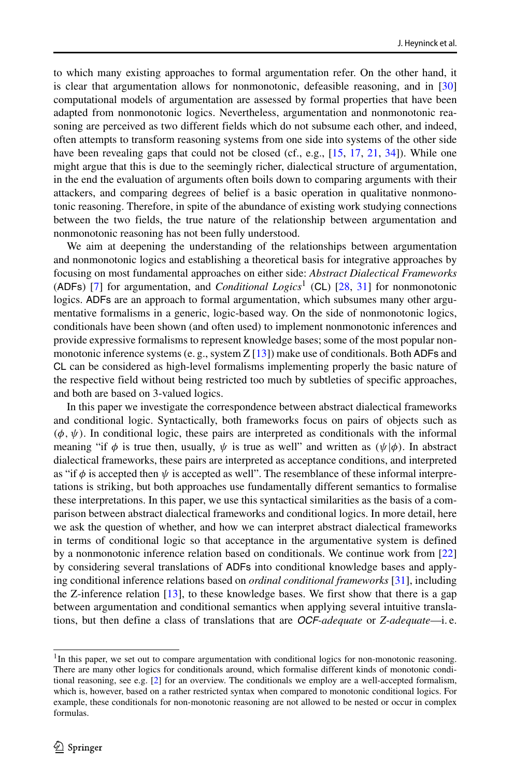to which many existing approaches to formal argumentation refer. On the other hand, it is clear that argumentation allows for nonmonotonic, defeasible reasoning, and in [\[30\]](#page-24-0) computational models of argumentation are assessed by formal properties that have been adapted from nonmonotonic logics. Nevertheless, argumentation and nonmonotonic reasoning are perceived as two different fields which do not subsume each other, and indeed, often attempts to transform reasoning systems from one side into systems of the other side have been revealing gaps that could not be closed (cf., e.g., [\[15,](#page-23-1) [17,](#page-23-2) [21,](#page-23-3) [34\]](#page-24-1)). While one might argue that this is due to the seemingly richer, dialectical structure of argumentation, in the end the evaluation of arguments often boils down to comparing arguments with their attackers, and comparing degrees of belief is a basic operation in qualitative nonmonotonic reasoning. Therefore, in spite of the abundance of existing work studying connections between the two fields, the true nature of the relationship between argumentation and nonmonotonic reasoning has not been fully understood.

We aim at deepening the understanding of the relationships between argumentation and nonmonotonic logics and establishing a theoretical basis for integrative approaches by focusing on most fundamental approaches on either side: *Abstract Dialectical Frameworks* (ADFs) [\[7\]](#page-23-4) for argumentation, and *Conditional Logics*[1](#page-1-0) (CL) [\[28,](#page-24-2) [31\]](#page-24-3) for nonmonotonic logics. ADFs are an approach to formal argumentation, which subsumes many other argumentative formalisms in a generic, logic-based way. On the side of nonmonotonic logics, conditionals have been shown (and often used) to implement nonmonotonic inferences and provide expressive formalisms to represent knowledge bases; some of the most popular nonmonotonic inference systems (e. g., system  $Z$  [\[13\]](#page-23-5)) make use of conditionals. Both ADFs and CL can be considered as high-level formalisms implementing properly the basic nature of the respective field without being restricted too much by subtleties of specific approaches, and both are based on 3-valued logics.

In this paper we investigate the correspondence between abstract dialectical frameworks and conditional logic. Syntactically, both frameworks focus on pairs of objects such as  $(\phi, \psi)$ . In conditional logic, these pairs are interpreted as conditionals with the informal meaning "if  $\phi$  is true then, usually,  $\psi$  is true as well" and written as  $(\psi | \phi)$ . In abstract dialectical frameworks, these pairs are interpreted as acceptance conditions, and interpreted as "if  $\phi$  is accepted then  $\psi$  is accepted as well". The resemblance of these informal interpretations is striking, but both approaches use fundamentally different semantics to formalise these interpretations. In this paper, we use this syntactical similarities as the basis of a comparison between abstract dialectical frameworks and conditional logics. In more detail, here we ask the question of whether, and how we can interpret abstract dialectical frameworks in terms of conditional logic so that acceptance in the argumentative system is defined by a nonmonotonic inference relation based on conditionals. We continue work from [\[22\]](#page-23-6) by considering several translations of ADFs into conditional knowledge bases and applying conditional inference relations based on *ordinal conditional frameworks* [\[31\]](#page-24-3), including the Z-inference relation [\[13\]](#page-23-5), to these knowledge bases. We first show that there is a gap between argumentation and conditional semantics when applying several intuitive translations, but then define a class of translations that are *OCF-adequate* or *Z-adequate*—i. e.

<span id="page-1-0"></span><sup>&</sup>lt;sup>1</sup>In this paper, we set out to compare argumentation with conditional logics for non-monotonic reasoning. There are many other logics for conditionals around, which formalise different kinds of monotonic conditional reasoning, see e.g. [\[2\]](#page-23-7) for an overview. The conditionals we employ are a well-accepted formalism, which is, however, based on a rather restricted syntax when compared to monotonic conditional logics. For example, these conditionals for non-monotonic reasoning are not allowed to be nested or occur in complex formulas.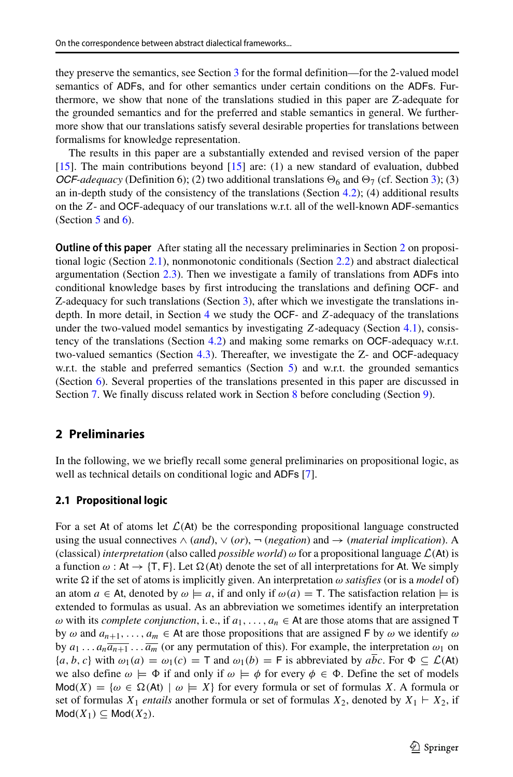they preserve the semantics, see Section [3](#page-7-0) for the formal definition—for the 2-valued model semantics of ADFs, and for other semantics under certain conditions on the ADFs. Furthermore, we show that none of the translations studied in this paper are Z-adequate for the grounded semantics and for the preferred and stable semantics in general. We furthermore show that our translations satisfy several desirable properties for translations between formalisms for knowledge representation.

The results in this paper are a substantially extended and revised version of the paper [\[15\]](#page-23-1). The main contributions beyond [\[15\]](#page-23-1) are: (1) a new standard of evaluation, dubbed *OCF-adequacy* (Definition 6); (2) two additional translations  $\Theta_6$  and  $\Theta_7$  (cf. Section [3\)](#page-7-0); (3) an in-depth study of the consistency of the translations (Section [4.2\)](#page-11-0); (4) additional results on the *Z*- and OCF-adequacy of our translations w.r.t. all of the well-known ADF-semantics (Section  $5$  and  $6$ ).

**Outline of this paper** After stating all the necessary preliminaries in Section [2](#page-2-0) on propositional logic (Section [2.1\)](#page-2-1), nonmonotonic conditionals (Section [2.2\)](#page-3-0) and abstract dialectical argumentation (Section [2.3\)](#page-4-0). Then we investigate a family of translations from ADFs into conditional knowledge bases by first introducing the translations and defining OCF- and Z-adequacy for such translations (Section [3\)](#page-7-0), after which we investigate the translations indepth. In more detail, in Section [4](#page-10-0) we study the OCF- and *Z*-adequacy of the translations under the two-valued model semantics by investigating *Z*-adequacy (Section [4.1\)](#page-10-1), consistency of the translations (Section [4.2\)](#page-11-0) and making some remarks on OCF-adequacy w.r.t. two-valued semantics (Section [4.3\)](#page-15-0). Thereafter, we investigate the Z- and OCF-adequacy w.r.t. the stable and preferred semantics (Section [5\)](#page-17-0) and w.r.t. the grounded semantics (Section [6\)](#page-19-0). Several properties of the translations presented in this paper are discussed in Section [7.](#page-20-0) We finally discuss related work in Section [8](#page-21-0) before concluding (Section [9\)](#page-22-0).

# <span id="page-2-0"></span>**2 Preliminaries**

In the following, we we briefly recall some general preliminaries on propositional logic, as well as technical details on conditional logic and ADFs [\[7\]](#page-23-4).

#### <span id="page-2-1"></span>**2.1 Propositional logic**

For a set At of atoms let  $\mathcal{L}(A t)$  be the corresponding propositional language constructed using the usual connectives  $\land$  (*and*),  $\lor$  (*or*),  $\neg$  (*negation*) and  $\rightarrow$  (*material implication*). A (classical) *interpretation* (also called *possible world*) *ω* for a propositional language L*(*At*)* is a function  $\omega$  : At  $\rightarrow$  {T, F}. Let  $\Omega$ (At) denote the set of all interpretations for At. We simply write  $\Omega$  if the set of atoms is implicitly given. An interpretation  $\omega$  *satisfies* (or is a *model* of) an atom  $a \in$  At, denoted by  $\omega \models a$ , if and only if  $\omega(a) = T$ . The satisfaction relation  $\models$  is extended to formulas as usual. As an abbreviation we sometimes identify an interpretation  $\omega$  with its *complete conjunction*, i.e., if  $a_1, \ldots, a_n \in \mathsf{At}$  are those atoms that are assigned  $\mathsf{T}$ by  $\omega$  and  $a_{n+1}, \ldots, a_m \in$  At are those propositions that are assigned F by  $\omega$  we identify  $\omega$ by  $a_1 \ldots a_n \overline{a_{n+1}} \ldots \overline{a_m}$  (or any permutation of this). For example, the interpretation  $\omega_1$  on  ${a, b, c}$  with  $\omega_1(a) = \omega_1(c) = T$  and  $\omega_1(b) = F$  is abbreviated by  $a\overline{bc}$ . For  $\Phi \subseteq \mathcal{L}(At)$ we also define  $\omega \models \Phi$  if and only if  $\omega \models \phi$  for every  $\phi \in \Phi$ . Define the set of models  $Mod(X) = \{ \omega \in \Omega(\mathsf{At}) \mid \omega \models X \}$  for every formula or set of formulas *X*. A formula or set of formulas  $X_1$  *entails* another formula or set of formulas  $X_2$ , denoted by  $X_1 \vdash X_2$ , if  $Mod(X_1) \subseteq Mod(X_2)$ .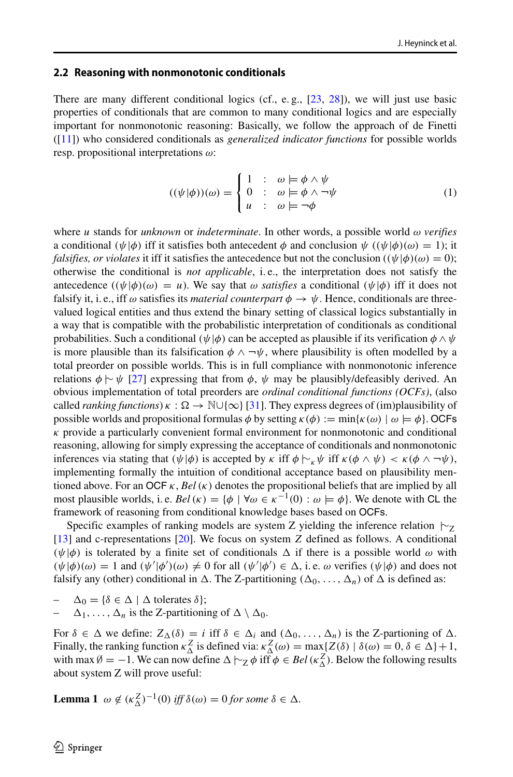#### <span id="page-3-0"></span>**2.2 Reasoning with nonmonotonic conditionals**

There are many different conditional logics (cf., e.g.,  $[23, 28]$  $[23, 28]$  $[23, 28]$ ), we will just use basic properties of conditionals that are common to many conditional logics and are especially important for nonmonotonic reasoning: Basically, we follow the approach of de Finetti ([\[11\]](#page-23-9)) who considered conditionals as *generalized indicator functions* for possible worlds resp. propositional interpretations *ω*:

$$
((\psi|\phi))(\omega) = \begin{cases} 1 & \colon & \omega \models \phi \land \psi \\ 0 & \colon & \omega \models \phi \land \neg \psi \\ u & \colon & \omega \models \neg \phi \end{cases} \tag{1}
$$

where *u* stands for *unknown* or *indeterminate*. In other words, a possible world *ω verifies* a conditional  $(\psi | \phi)$  iff it satisfies both antecedent  $\phi$  and conclusion  $\psi$  ( $(\psi | \phi)(\omega) = 1$ ); it *falsifies, or violates* it iff it satisfies the antecedence but not the conclusion  $((\psi | \phi)(\omega) = 0)$ ; otherwise the conditional is *not applicable*, i. e., the interpretation does not satisfy the antecedence  $((\psi | \phi)(\omega) = u)$ . We say that  $\omega$  *satisfies* a conditional  $(\psi | \phi)$  iff it does not falsify it, i. e., iff  $\omega$  satisfies its *material counterpart*  $\phi \to \psi$ . Hence, conditionals are threevalued logical entities and thus extend the binary setting of classical logics substantially in a way that is compatible with the probabilistic interpretation of conditionals as conditional probabilities. Such a conditional *(ψ*|*φ)* can be accepted as plausible if its verification *φ* ∧*ψ* is more plausible than its falsification  $\phi \land \neg \psi$ , where plausibility is often modelled by a total preorder on possible worlds. This is in full compliance with nonmonotonic inference relations  $\phi \sim \psi$  [\[27\]](#page-24-4) expressing that from  $\phi$ ,  $\psi$  may be plausibly/defeasibly derived. An obvious implementation of total preorders are *ordinal conditional functions (OCFs)*, (also called *ranking functions*)  $\kappa : \Omega \to \mathbb{N} \cup \{\infty\}$  [\[31\]](#page-24-3). They express degrees of (im)plausibility of possible worlds and propositional formulas  $\phi$  by setting  $\kappa(\phi) := \min{\kappa(\omega) \mid \omega \models \phi}$ . OCFs *κ* provide a particularly convenient formal environment for nonmonotonic and conditional reasoning, allowing for simply expressing the acceptance of conditionals and nonmonotonic inferences via stating that  $(\psi | \phi)$  is accepted by  $\kappa$  iff  $\phi \vdash_{\kappa} \psi$  iff  $\kappa(\phi \land \psi) < \kappa(\phi \land \neg \psi)$ , implementing formally the intuition of conditional acceptance based on plausibility mentioned above. For an OCF *κ*, *Bel(κ)* denotes the propositional beliefs that are implied by all most plausible worlds, i. e. *Bel* ( $\kappa$ ) = { $\phi$  |  $\forall \omega \in \kappa^{-1}(0)$  :  $\omega \models \phi$ }. We denote with CL the framework of reasoning from conditional knowledge bases based on OCFs.

Specific examples of ranking models are system Z yielding the inference relation  $\vdash$ <sub>Z</sub> [\[13\]](#page-23-5) and c-representations [\[20\]](#page-23-10). We focus on system *Z* defined as follows. A conditional  $(\psi | \phi)$  is tolerated by a finite set of conditionals  $\Delta$  if there is a possible world  $\omega$  with  $(\psi | \phi)(\omega) = 1$  and  $(\psi' | \phi')(\omega) \neq 0$  for all  $(\psi' | \phi') \in \Delta$ , i.e.  $\omega$  verifies  $(\psi | \phi)$  and does not falsify any (other) conditional in  $\Delta$ . The Z-partitioning  $(\Delta_0, \ldots, \Delta_n)$  of  $\Delta$  is defined as:

 $\Delta_0 = {\delta \in \Delta \mid \Delta \text{ tolerates } \delta};$ 

 $\Delta_1, \ldots, \Delta_n$  is the Z-partitioning of  $\Delta \setminus \Delta_0$ .

For  $\delta \in \Delta$  we define:  $Z_{\Delta}(\delta) = i$  iff  $\delta \in \Delta_i$  and  $(\Delta_0, \ldots, \Delta_n)$  is the Z-partioning of  $\Delta$ . Finally, the ranking function  $κ^Z_\Delta$  is defined via:  $κ^Z_\Delta$  (ω) = max{*Z*(δ) | δ(ω) = 0, δ ∈ Δ} + 1, with max  $\emptyset = -1$ . We can now define  $\Delta \vdash_Z \phi$  iff  $\phi \in Bel(\kappa_{\Delta}^Z)$ . Below the following results about system Z will prove useful:

**Lemma 1**  $\omega \notin (\kappa_{\Delta}^Z)^{-1}(0)$  *iff*  $\delta(\omega) = 0$  *for some*  $\delta \in \Delta$ *.*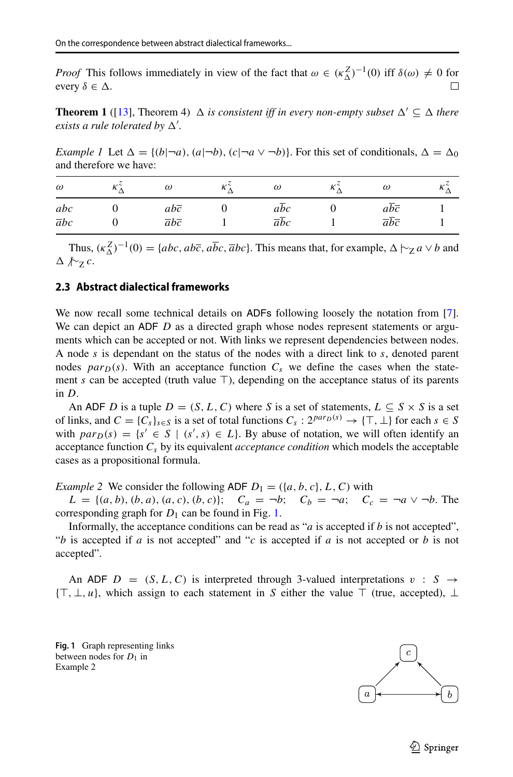*Proof* This follows immediately in view of the fact that  $\omega \in (\kappa_{\Delta}^Z)^{-1}(0)$  iff  $\delta(\omega) \neq 0$  for every  $\delta \in \Delta$ .

**Theorem 1** ([\[13\]](#page-23-5), Theorem 4)  $\Delta$  *is consistent iff in every non-empty subset*  $\Delta' \subseteq \Delta$  *there exists a rule tolerated by*  $\Delta'$ .

*Example 1* Let  $\Delta = \{(b|\neg a), (a|\neg b), (c|\neg a \vee \neg b)\}$ . For this set of conditionals,  $\Delta = \Delta_0$ and therefore we have:

| $\omega$                | $\omega$                                        | $\omega$                | ĸ. | $\omega$                                                   |  |
|-------------------------|-------------------------------------------------|-------------------------|----|------------------------------------------------------------|--|
| abc<br>$\overline{a}bc$ | $ab\overline{c}$<br>$\overline{a}b\overline{c}$ | abc<br>$\overline{a}bc$ |    | $ab\overline{c}$<br>$\overline{a}\overline{b}\overline{c}$ |  |

Thus,  $(\kappa_{\Delta}^{Z})^{-1}(0) = \{abc, ab\bar{c}, a\bar{b}c, \bar{a}bc\}$ . This means that, for example,  $\Delta \vdash_{Z} a \lor b$  and  |∼<sup>Z</sup> *c*.

### <span id="page-4-0"></span>**2.3 Abstract dialectical frameworks**

We now recall some technical details on ADFs following loosely the notation from [\[7\]](#page-23-4). We can depict an ADF *D* as a directed graph whose nodes represent statements or arguments which can be accepted or not. With links we represent dependencies between nodes. A node *s* is dependant on the status of the nodes with a direct link to *s*, denoted parent nodes  $par_D(s)$ . With an acceptance function  $C_s$  we define the cases when the statement *s* can be accepted (truth value  $\top$ ), depending on the acceptance status of its parents in *D*.

An ADF *D* is a tuple  $D = (S, L, C)$  where *S* is a set of statements,  $L \subseteq S \times S$  is a set of links, and  $C = \{C_s\}_{s \in S}$  is a set of total functions  $C_s : 2^{par_D(s)} \to {\top, \bot}$  for each  $s \in S$ with  $par_D(s) = \{s' \in S \mid (s', s) \in L\}$ . By abuse of notation, we will often identify an acceptance function *Cs* by its equivalent *acceptance condition* which models the acceptable cases as a propositional formula.

*Example 2* We consider the following ADF  $D_1 = (\{a, b, c\}, L, C)$  with  $L = \{(a, b), (b, a), (a, c), (b, c)\};$   $C_a = \neg b;$   $C_b = \neg a;$   $C_c = \neg a \lor \neg b$ . The corresponding graph for  $D_1$  can be found in Fig. [1.](#page-4-1)

Informally, the acceptance conditions can be read as "*a* is accepted if *b* is not accepted", "*b* is accepted if *a* is not accepted" and "*c* is accepted if *a* is not accepted or *b* is not accepted".

An ADF  $D = (S, L, C)$  is interpreted through 3-valued interpretations  $v : S \rightarrow$ { $\top$ , ⊥, *u*}, which assign to each statement in *S* either the value  $\top$  (true, accepted), ⊥

<span id="page-4-1"></span>**Fig. 1** Graph representing links between nodes for  $D_1$  in Example 2

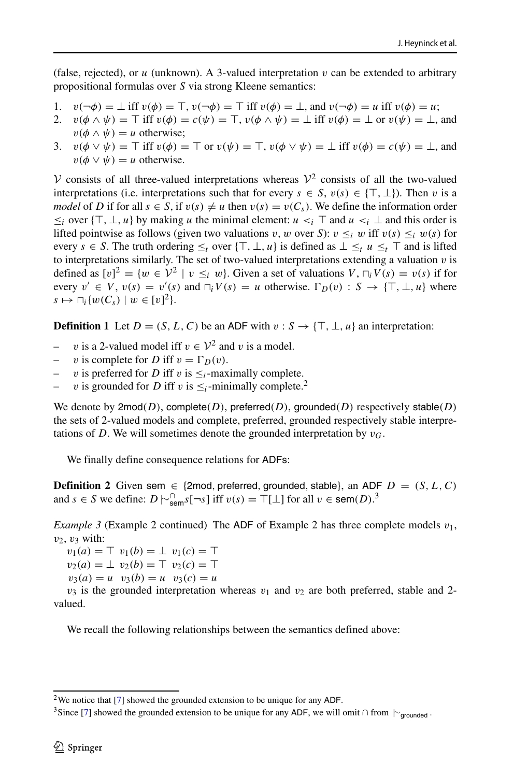(false, rejected), or  $u$  (unknown). A 3-valued interpretation  $v$  can be extended to arbitrary propositional formulas over *S* via strong Kleene semantics:

- 1.  $v(\neg \phi) = \bot$  iff  $v(\phi) = \top$ ,  $v(\neg \phi) = \top$  iff  $v(\phi) = \bot$ , and  $v(\neg \phi) = u$  iff  $v(\phi) = u$ ;<br>2.  $v(\phi \land \psi) = \top$  iff  $v(\phi) = c(\psi) = \top$ ,  $v(\phi \land \psi) = \bot$  iff  $v(\phi) = \bot$  or  $v(\psi) = \bot$ .
- $v(\phi \wedge \psi) = \top$  iff  $v(\phi) = c(\psi) = \top$ ,  $v(\phi \wedge \psi) = \bot$  iff  $v(\phi) = \bot$  or  $v(\psi) = \bot$ , and  $v(\phi \wedge \psi) = u$  otherwise;
- 3.  $v(\phi \lor \psi) = \top$  iff  $v(\phi) = \top$  or  $v(\psi) = \top$ ,  $v(\phi \lor \psi) = \bot$  iff  $v(\phi) = c(\psi) = \bot$ , and  $v(\phi \vee \psi) = u$  otherwise.

V consists of all three-valued interpretations whereas  $\mathcal{V}^2$  consists of all the two-valued interpretations (i.e. interpretations such that for every  $s \in S$ ,  $v(s) \in \{T, \perp\}$ ). Then *v* is a *model* of *D* if for all  $s \in S$ , if  $v(s) \neq u$  then  $v(s) = v(C_s)$ . We define the information order  $\leq$ *i* over { $\top$ , ⊥, *u*} by making *u* the minimal element: *u* <*i*  $\top$  and *u* <*i* ⊥ and this order is lifted pointwise as follows (given two valuations *v*, *w* over *S*):  $v \leq_i w$  iff  $v(s) \leq_i w(s)$  for every  $s \in S$ . The truth ordering  $\leq_t$  over  $\{\top, \bot, u\}$  is defined as  $\bot \leq_t u \leq_t \top$  and is lifted to interpretations similarly. The set of two-valued interpretations extending a valuation *v* is defined as  $[v]^2 = \{w \in V^2 \mid v \leq_i w\}$ . Given a set of valuations  $V$ ,  $\bigcap_i V(s) = v(s)$  if for every  $v' \in V$ ,  $v(s) = v'(s)$  and  $\bigcap_i V(s) = u$  otherwise.  $\Gamma_D(v) : S \to {\{\top, \bot, u\}}$  where  $s \mapsto \bigcap_i \{w(C_s) \mid w \in [v]^2\}.$ 

**Definition 1** Let  $D = (S, L, C)$  be an ADF with  $v : S \rightarrow \{\top, \bot, u\}$  an interpretation:

- *v* is a 2-valued model iff  $v \in \mathcal{V}^2$  and *v* is a model.
- *v* is complete for *D* iff  $v = \Gamma_D(v)$ .
- *v* is preferred for *D* iff *v* is  $\leq$ <sub>*i*</sub>-maximally complete.
- *v* is grounded for *D* iff *v* is  $\leq$ <sub>*i*</sub>-minimally complete.<sup>[2](#page-5-0)</sup>

We denote by 2mod*(D)*, complete*(D)*, preferred*(D)*, grounded*(D)* respectively stable*(D)* the sets of 2-valued models and complete, preferred, grounded respectively stable interpretations of *D*. We will sometimes denote the grounded interpretation by  $v_G$ .

We finally define consequence relations for ADFs:

**Definition 2** Given sem  $\in$  {2mod, preferred, grounded, stable}, an ADF  $D = (S, L, C)$ and *s* ∈ *S* we define:  $D \sim_{\text{sem}}^{\cap} s[-s]$  iff  $v(s) = \top[\bot]$  for all  $v \in \text{sem}(D)$ .<sup>[3](#page-5-1)</sup>

*Example 3* (Example 2 continued) The ADF of Example 2 has three complete models  $v_1$ , *v*2, *v*<sup>3</sup> with:

 $v_1(a) = \top v_1(b) = \bot v_1(c) = \top$  $v_2(a) = \perp v_2(b) = \perp v_2(c) = \perp$ 

 $v_3(a) = u \quad v_3(b) = u \quad v_3(c) = u$ 

 $v_3$  is the grounded interpretation whereas  $v_1$  and  $v_2$  are both preferred, stable and 2valued.

We recall the following relationships between the semantics defined above:

<sup>2</sup>We notice that [\[7\]](#page-23-4) showed the grounded extension to be unique for any ADF.

<span id="page-5-1"></span><span id="page-5-0"></span><sup>&</sup>lt;sup>3</sup>Since [\[7\]](#page-23-4) showed the grounded extension to be unique for any ADF, we will omit ∩ from  $\vdash_{\text{grounded}}$ .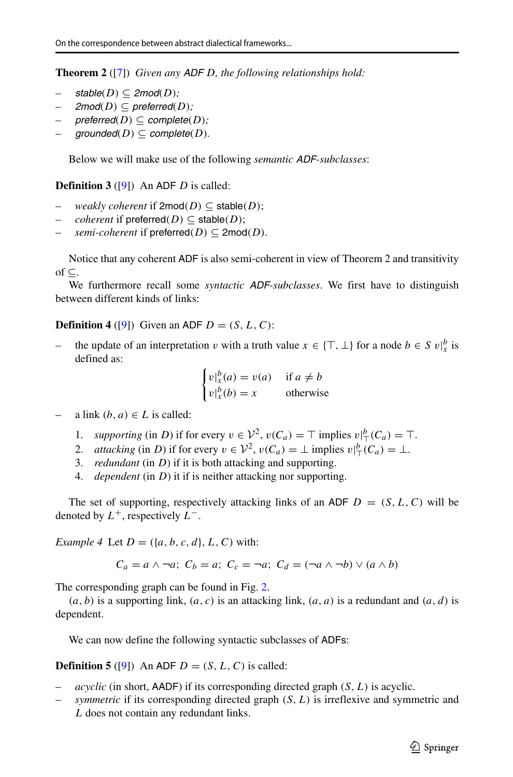**Theorem 2** ([\[7\]](#page-23-4)) *Given any ADF D, the following relationships hold:*

- $stable(D) \subseteq 2mod(D)$ ;
- $2 \text{mod}(D) \subseteq \text{preferred}(D)$ ;
- $preferred(D) \subseteq complete(D);$
- $grounded(D) \subseteq complete(D)$ *.*

Below we will make use of the following *semantic ADF-subclasses*:

**Definition 3** ([\[9\]](#page-23-11)) An ADF *D* is called:

- *weakly coherent* if  $2 \text{mod}(D) \subseteq \text{stable}(D)$ ;
- *coherent* if preferred $(D) \subseteq$  stable $(D)$ ;
- *semi-coherent* if preferred $(D) \subseteq 2 \text{mod}(D)$ .

Notice that any coherent ADF is also semi-coherent in view of Theorem 2 and transitivity of ⊆.

We furthermore recall some *syntactic ADF-subclasses*. We first have to distinguish between different kinds of links:

**Definition 4** ([\[9\]](#page-23-11)) Given an ADF  $D = (S, L, C)$ :

*−* the update of an interpretation *v* with a truth value  $x \in \{\top, \bot\}$  for a node  $b \in S$  v| $\frac{b}{x}$  is defined as:

$$
\begin{cases} v \vert_x^b(a) = v(a) & \text{if } a \neq b \\ v \vert_x^b(b) = x & \text{otherwise} \end{cases}
$$

a link  $(b, a) \in L$  is called:

- 1. *supporting* (in *D*) if for every  $v \in V^2$ ,  $v(C_a) = \top$  implies  $v \big|_0^b (C_a) = \top$ .
- 2. *attacking* (in *D*) if for every  $v \in \mathcal{V}^2$ ,  $v(C_a) = \bot$  implies  $v|_{\top}^b(C_a) = \bot$ .
- 3. *redundant* (in *D*) if it is both attacking and supporting.
- 4. *dependent* (in *D*) it if is neither attacking nor supporting.

The set of supporting, respectively attacking links of an ADF  $D = (S, L, C)$  will be denoted by *L*+, respectively *L*−.

*Example 4* Let  $D = (\{a, b, c, d\}, L, C)$  with:

$$
C_a = a \land \neg a; \ C_b = a; \ C_c = \neg a; \ C_d = (\neg a \land \neg b) \lor (a \land b)
$$

The corresponding graph can be found in Fig. [2.](#page-7-1)

 $(a, b)$  is a supporting link,  $(a, c)$  is an attacking link,  $(a, a)$  is a redundant and  $(a, d)$  is dependent.

We can now define the following syntactic subclasses of ADFs:

**Definition 5** ([\[9\]](#page-23-11)) An ADF  $D = (S, L, C)$  is called:

- *acyclic* (in short, AADF) if its corresponding directed graph *(S, L)* is acyclic.
- *symmetric* if its corresponding directed graph *(S, L)* is irreflexive and symmetric and *L* does not contain any redundant links.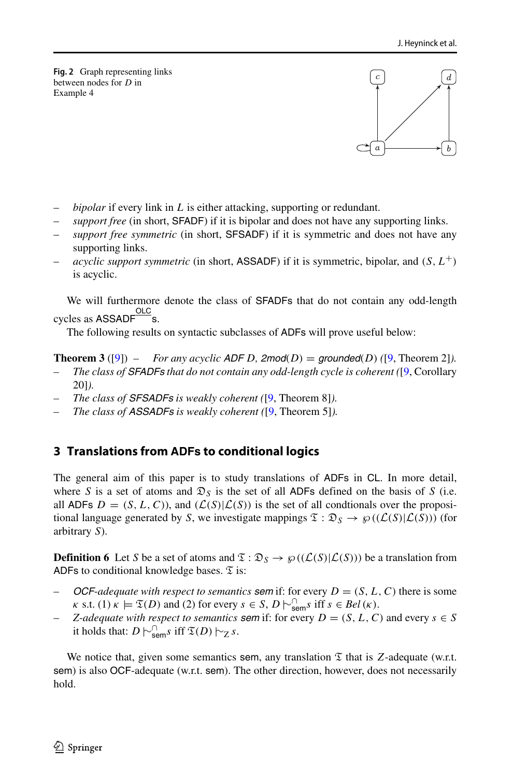<span id="page-7-1"></span>**Fig. 2** Graph representing links between nodes for *D* in Example 4



- *bipolar* if every link in *L* is either attacking, supporting or redundant.
- *support free* (in short, SFADF) if it is bipolar and does not have any supporting links.
- *support free symmetric* (in short, SFSADF) if it is symmetric and does not have any supporting links.
- *acyclic support symmetric* (in short, ASSADF) if it is symmetric, bipolar, and  $(S, L^+)$ is acyclic.

We will furthermore denote the class of SFADFs that do not contain any odd-length cycles as ASSADF<sup>OLC</sup>s.

The following results on syntactic subclasses of ADFs will prove useful below:

**Theorem 3** ([\[9\]](#page-23-11)) – For any acyclic ADF D, 2mod(D) = grounded(D) ([\[9,](#page-23-11) Theorem 2]).

- *The class of SFADFs that do not contain any odd-length cycle is coherent (*[\[9,](#page-23-11) Corollary 20]*).*
- *The class of SFSADFs is weakly coherent (*[\[9,](#page-23-11) Theorem 8]*).*
- *The class of ASSADFs is weakly coherent (*[\[9,](#page-23-11) Theorem 5]*).*

# <span id="page-7-0"></span>**3 Translations from ADFs to conditional logics**

The general aim of this paper is to study translations of ADFs in CL. In more detail, where *S* is a set of atoms and  $\mathfrak{D}_S$  is the set of all ADFs defined on the basis of *S* (i.e. all ADFs  $D = (S, L, C)$ , and  $(L(S)|L(S))$  is the set of all condtionals over the propositional language generated by *S*, we investigate mappings  $\mathfrak{T} : \mathfrak{D}_S \to \wp((\mathcal{L}(S)|\mathcal{L}(S)))$  (for arbitrary *S*).

**Definition 6** Let *S* be a set of atoms and  $\mathfrak{T}$  :  $\mathfrak{D}_S \rightarrow \mathfrak{g}((\mathcal{L}(S)|\mathcal{L}(S)))$  be a translation from ADFs to conditional knowledge bases.  $\mathfrak T$  is:

- *OCF-adequate with respect to semantics sem if: for every*  $D = (S, L, C)$  *there is some*  $\kappa$  s.t. (1)  $\kappa \models \mathfrak{T}(D)$  and (2) for every  $s \in S$ ,  $D \sim_{\text{sem}}^{\cap} s$  iff  $s \in Bel(\kappa)$ .
- *Z*-adequate with respect to semantics **sem** if: for every  $D = (S, L, C)$  and every  $s \in S$ it holds that:  $D \vdash_{sem}^{\cap} s$  iff  $\mathfrak{T}(D) \vdash_{Z} s$ .

We notice that, given some semantics sem, any translation  $\mathfrak T$  that is *Z*-adequate (w.r.t. sem) is also OCF-adequate (w.r.t. sem). The other direction, however, does not necessarily hold.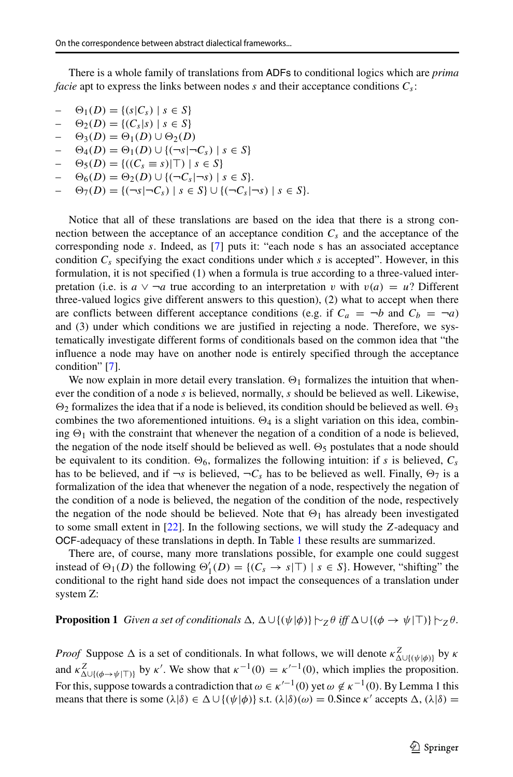There is a whole family of translations from ADFs to conditional logics which are *prima facie* apt to express the links between nodes *s* and their acceptance conditions *Cs*:

- *−*  $\Theta_1(D) = \{(s|C_s) \mid s \in S\}$
- $\Theta_2(D) = \{(C_s|s) | s \in S\}$
- $\Theta_3(D) = \Theta_1(D) \cup \Theta_2(D)$
- $\Theta_4(D) = \Theta_1(D) \cup \{(\neg s | \neg C_s) | s \in S\}$
- $\Theta_5(D) = \{((C_s \equiv s)|\top) | s \in S\}$
- $\Theta_6(D) = \Theta_2(D) \cup \{ (\neg C_s | \neg s) | s \in S \}.$

 $\Theta_7(D) = \{ (\neg s | \neg C_s) | s \in S \}$ ∪  $\{ (\neg C_s | \neg s) | s \in S \}.$ 

Notice that all of these translations are based on the idea that there is a strong connection between the acceptance of an acceptance condition  $C_s$  and the acceptance of the corresponding node *s*. Indeed, as [\[7\]](#page-23-4) puts it: "each node s has an associated acceptance condition  $C_s$  specifying the exact conditions under which *s* is accepted". However, in this formulation, it is not specified (1) when a formula is true according to a three-valued interpretation (i.e. is  $a \vee \neg a$  true according to an interpretation *v* with  $v(a) = u$ ? Different three-valued logics give different answers to this question), (2) what to accept when there are conflicts between different acceptance conditions (e.g. if  $C_a = \neg b$  and  $C_b = \neg a$ ) and (3) under which conditions we are justified in rejecting a node. Therefore, we systematically investigate different forms of conditionals based on the common idea that "the influence a node may have on another node is entirely specified through the acceptance condition" [\[7\]](#page-23-4).

We now explain in more detail every translation.  $\Theta_1$  formalizes the intuition that whenever the condition of a node *s* is believed, normally, *s* should be believed as well. Likewise,  $\Theta_2$  formalizes the idea that if a node is believed, its condition should be believed as well.  $\Theta_3$ combines the two aforementioned intuitions.  $\Theta_4$  is a slight variation on this idea, combining  $\Theta_1$  with the constraint that whenever the negation of a condition of a node is believed, the negation of the node itself should be believed as well.  $\Theta_5$  postulates that a node should be equivalent to its condition.  $\Theta_6$ , formalizes the following intuition: if *s* is believed,  $C_s$ has to be believed, and if  $\neg s$  is believed,  $\neg C_s$  has to be believed as well. Finally,  $\Theta_7$  is a formalization of the idea that whenever the negation of a node, respectively the negation of the condition of a node is believed, the negation of the condition of the node, respectively the negation of the node should be believed. Note that  $\Theta_1$  has already been investigated to some small extent in [\[22\]](#page-23-6). In the following sections, we will study the *Z*-adequacy and OCF-adequacy of these translations in depth. In Table [1](#page-9-0) these results are summarized.

There are, of course, many more translations possible, for example one could suggest instead of  $\Theta_1(D)$  the following  $\Theta'_1(D) = \{(C_s \to s | \top) | s \in S\}$ . However, "shifting" the conditional to the right hand side does not impact the consequences of a translation under system Z:

### **Proposition 1** *Given a set of conditionals*  $\Delta$ ,  $\Delta \cup \{(\psi | \phi) \}$   $\sim$   $\gamma$ *θ iff*  $\Delta \cup \{(\phi \rightarrow \psi | \top) \}$   $\sim$   $\gamma$ *θ.*

*Proof* Suppose  $\Delta$  is a set of conditionals. In what follows, we will denote  $\kappa^Z_{\Delta \cup \{(\psi | \phi)\}}$  by  $\kappa$ and  $\kappa_{\Delta \cup \{(\phi \to \psi | \top)\}}^Z$  by *κ'*. We show that  $\kappa^{-1}(0) = \kappa'^{-1}(0)$ , which implies the proposition. For this, suppose towards a contradiction that  $\omega \in \kappa'^{-1}(0)$  yet  $\omega \notin \kappa^{-1}(0)$ . By Lemma 1 this means that there is some  $(\lambda|\delta) \in \Delta \cup \{(\psi|\phi)\}\$  s.t.  $(\lambda|\delta)(\omega) = 0$ . Since  $\kappa'$  accepts  $\Delta$ ,  $(\lambda|\delta) =$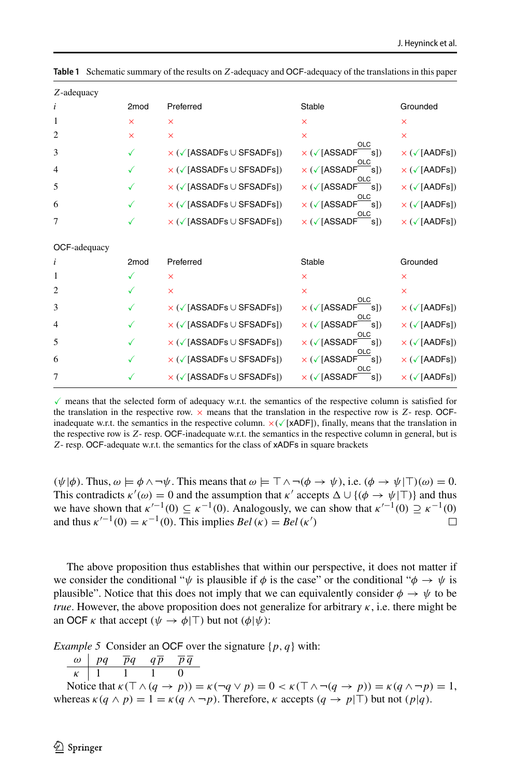| Z-adequacy     |                  |                                                   |                                                             |                                      |
|----------------|------------------|---------------------------------------------------|-------------------------------------------------------------|--------------------------------------|
| i              | 2 <sub>mod</sub> | Preferred                                         | Stable                                                      | Grounded                             |
| 1              | $\times$         | $\times$                                          | $\times$                                                    | ×                                    |
| $\overline{2}$ | $\times$         | $\times$                                          | $\times$                                                    | $\overline{\mathsf{x}}$              |
| 3              | ✓                | $\times$ ( $\checkmark$ [ASSADFs $\cup$ SFSADFs]) | OLC<br>$\times$ ( $\sqrt{\textsf{[ASSADF]}}$<br>s)          | $\times$ ( $\checkmark$ [AADFs])     |
| 4              | ✓                | $\times$ ( $\checkmark$ [ASSADFs $\cup$ SFSADFs]) | $\times$ ( $\sqrt{\textsf{[ASSADF]}}$<br>์s])               | $\times$ ( $\checkmark$ [AADFs])     |
| 5              | ✓                | $\times$ ( $\checkmark$ [ASSADFs $\cup$ SFSADFs]) | × (√[ASSADF<br>$\mathsf{s}$ ])                              | $\times$ ( $\sqrt{\text{[AADFs]}}$ ) |
| 6              | ✓                | × (√[ASSADFs ∪ SFSADFs])                          | $\times$ ( $\sqrt{\textsf{[ASSADF]}}$<br>์s])               | $\times$ ( $\sqrt{\text{[AADFs]}}$ ) |
| 7              | ✓                | $\times$ ( $\checkmark$ [ASSADFs $\cup$ SFSADFs]) | $\mathsf{s}$ ])<br>$\times$ ( $\sqrt{\textsf{[ASSADF]}}$    | $\times$ ( $\sqrt{\text{[AADFs]}}$ ) |
| OCF-adequacy   |                  |                                                   |                                                             |                                      |
| i              | 2 <sub>mod</sub> | Preferred                                         | Stable                                                      | Grounded                             |
| 1              | ✓                | $\times$                                          | $\times$                                                    | ×                                    |
| $\overline{c}$ |                  | ×                                                 | $\times$                                                    | $\times$                             |
| 3              | ✓                | $\times$ ( $\checkmark$ [ASSADFs $\cup$ SFSADFs]) | $\times$ ( $\sqrt{\ }$ [ASSADF]<br>sl)                      | $\times$ ( $\sqrt{\text{[AADFs]}}$ ) |
| $\overline{4}$ | ✓                | $\times$ ( $\checkmark$ [ASSADFs $\cup$ SFSADFs]) | $\times$ ( $\sqrt{\textsf{[ASSADF]}}$<br>์s])               | $\times$ ( $\sqrt{\text{[AADFs]}}$ ) |
| 5              | ✓                | $\times$ ( $\checkmark$ [ASSADFs $\cup$ SFSADFs]) | $\times$ ( $\sqrt{\textsf{[ASSADF]}}$<br>$\mathsf{s}$ ])    | $\times$ ( $\sqrt{\text{[AADFs]}}$ ) |
| 6              | ✓                | $\times$ ( $\checkmark$ [ASSADFs $\cup$ SFSADFs]) | $\times$ ( $\sqrt{\phantom{a}}$ [ASSADF]<br>$\mathsf{s}$ ]) | $\times$ ( $\sqrt{\text{[AADFs]}}$ ) |
| 7              | ✓                | $\times$ ( $\checkmark$ [ASSADFs $\cup$ SFSADFs]) | s)<br>$\times$ ( $\sqrt{}$ [ASSADF                          | $\times$ ( $\sqrt{\text{[AADFs]}}$ ) |

<span id="page-9-0"></span>**Table 1** Schematic summary of the results on *Z*-adequacy and OCF-adequacy of the translations in this paper

 $\checkmark$  means that the selected form of adequacy w.r.t. the semantics of the respective column is satisfied for the translation in the respective row.  $\times$  means that the translation in the respective row is  $Z$ - resp. OCFinadequate w.r.t. the semantics in the respective column.  $\times$  ( $\times$ [xADF]), finally, means that the translation in the respective row is *Z*- resp. OCF-inadequate w.r.t. the semantics in the respective column in general, but is *Z*- resp. OCF-adequate w.r.t. the semantics for the class of xADFs in square brackets

 $(\psi | \phi)$ . Thus,  $\omega \models \phi \land \neg \psi$ . This means that  $\omega \models \top \land \neg(\phi \rightarrow \psi)$ , i.e.  $(\phi \rightarrow \psi | \top)(\omega) = 0$ . This contradicts  $\kappa'(\omega) = 0$  and the assumption that  $\kappa'$  accepts  $\Delta \cup \{(\phi \to \psi | \top)\}\$  and thus we have shown that  $\kappa'^{-1}(0) \subseteq \kappa^{-1}(0)$ . Analogously, we can show that  $\kappa'^{-1}(0) \supseteq \kappa^{-1}(0)$  and thus  $\kappa'^{-1}(0) = \kappa^{-1}(0)$ . This implies  $Bel(\kappa) = Bel(\kappa')$ and thus  $\kappa'^{-1}(0) = \kappa^{-1}(0)$ . This implies  $Bel(\kappa) = Bel(\kappa')$ 

The above proposition thus establishes that within our perspective, it does not matter if we consider the conditional " $\psi$  is plausible if  $\phi$  is the case" or the conditional " $\phi \to \psi$  is plausible". Notice that this does not imply that we can equivalently consider  $\phi \to \psi$  to be *true*. However, the above proposition does not generalize for arbitrary  $\kappa$ , i.e. there might be an OCF *κ* that accept  $(\psi \rightarrow \phi | \top)$  but not  $(\phi | \psi)$ :

*Example 5* Consider an OCF over the signature {*p, q*} with:

$$
\begin{array}{c|cc}\n\omega & pq & \overline{pq} & q\overline{p} & \overline{p}\ \overline{q} \\
\hline\n\kappa & 1 & 1 & 1 & 0\n\end{array}
$$

Notice that  $\kappa(\top \wedge (q \to p)) = \kappa(\neg q \vee p) = 0 < \kappa(\top \wedge \neg (q \to p)) = \kappa(q \wedge \neg p) = 1$ , whereas  $\kappa(q \wedge p) = 1 = \kappa(q \wedge \neg p)$ . Therefore,  $\kappa$  accepts  $(q \rightarrow p | \top)$  but not  $(p|q)$ .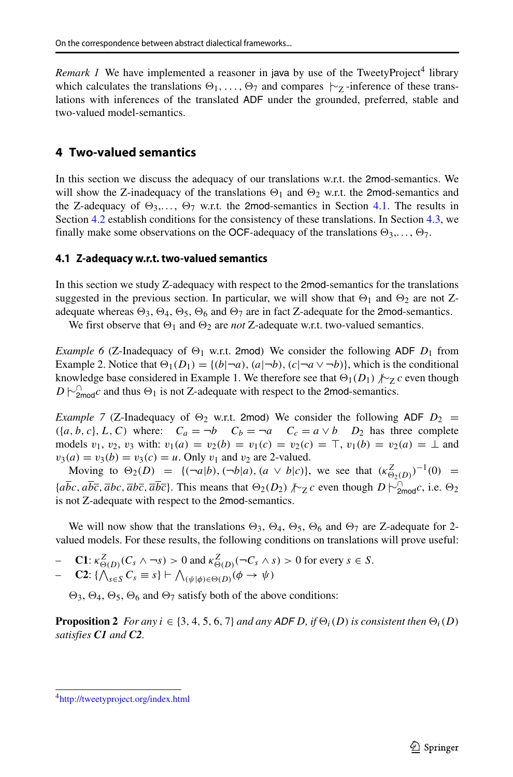*Remark 1* We have implemented a reasoner in java by use of the TweetyProject<sup>4</sup> library which calculates the translations  $\Theta_1, \ldots, \Theta_7$  and compares  $\sim$ <sub>Z</sub>-inference of these translations with inferences of the translated ADF under the grounded, preferred, stable and two-valued model-semantics.

# <span id="page-10-0"></span>**4 Two-valued semantics**

In this section we discuss the adequacy of our translations w.r.t. the 2mod-semantics. We will show the Z-inadequacy of the translations  $\Theta_1$  and  $\Theta_2$  w.r.t. the 2mod-semantics and the Z-adequacy of  $\Theta_3, \ldots, \Theta_7$  w.r.t. the 2mod-semantics in Section [4.1.](#page-10-1) The results in Section [4.2](#page-11-0) establish conditions for the consistency of these translations. In Section [4.3,](#page-15-0) we finally make some observations on the OCF-adequacy of the translations  $\Theta_3, \ldots, \Theta_7$ .

### <span id="page-10-1"></span>**4.1 Z-adequacy w.r.t. two-valued semantics**

In this section we study Z-adequacy with respect to the 2mod-semantics for the translations suggested in the previous section. In particular, we will show that  $\Theta_1$  and  $\Theta_2$  are not Zadequate whereas  $\Theta_3$ ,  $\Theta_4$ ,  $\Theta_5$ ,  $\Theta_6$  and  $\Theta_7$  are in fact Z-adequate for the 2mod-semantics.

We first observe that  $\Theta_1$  and  $\Theta_2$  are *not* Z-adequate w.r.t. two-valued semantics.

*Example 6* (Z-Inadequacy of  $\Theta_1$  w.r.t. 2mod) We consider the following ADF  $D_1$  from Example 2. Notice that  $\Theta_1(D_1) = \{(b|\neg a), (a|\neg b), (c|\neg a \vee \neg b)\}$ , which is the conditional knowledge base considered in Example 1. We therefore see that  $\Theta_1(D_1)$  <sub>∤</sub> $\sim$ <sub>Z</sub> *c* even though  $D \sim_{2\text{mod}}^{\text{}} c$  and thus  $\Theta_1$  is not Z-adequate with respect to the 2mod-semantics.

*Example 7* (Z-Inadequacy of  $\Theta_2$  w.r.t. 2mod) We consider the following ADF  $D_2$  =  $(Aa, b, c), L, C$  where:  $C_a = \neg b$   $C_b = \neg a$   $C_c = a \lor b$   $D_2$  has three complete models  $v_1, v_2, v_3$  with:  $v_1(a) = v_2(b) = v_1(c) = v_2(c) = \top$ ,  $v_1(b) = v_2(a) = \bot$  and  $v_3(a) = v_3(b) = v_3(c) = u$ . Only  $v_1$  and  $v_2$  are 2-valued.

Moving to  $\Theta_2(D) = \{ (\neg a|b), (\neg b|a), (a \lor b|c) \}$ , we see that  $(\kappa_{\Theta_2(D)}^Z)^{-1}(0) =$  ${abc, abc, \overline{abc, \overline{abc}}$ ,  $\overline{abc}$ . This means that  $\Theta_2(D_2)$   $\nvdash z$  *c* even though *D*  $\vdash_{\text{2mod}}^{\text{1}} c$ , i.e.  $\Theta_2$ is not Z-adequate with respect to the 2mod-semantics.

We will now show that the translations  $\Theta_3$ ,  $\Theta_4$ ,  $\Theta_5$ ,  $\Theta_6$  and  $\Theta_7$  are Z-adequate for 2valued models. For these results, the following conditions on translations will prove useful:

$$
- \quad \mathbf{C1:} \ \kappa^Z_{\Theta(D)}(C_s \wedge \neg s) > 0 \text{ and } \kappa^Z_{\Theta(D)}(\neg C_s \wedge s) > 0 \text{ for every } s \in S.
$$

$$
- \mathbf{C2} : \{ \bigwedge_{s \in S} C_s \equiv s \} \vdash \bigwedge_{(\psi \mid \phi) \in \Theta(D)} (\phi \to \psi)
$$

 $\Theta_3$ ,  $\Theta_4$ ,  $\Theta_5$ ,  $\Theta_6$  and  $\Theta_7$  satisfy both of the above conditions:

**Proposition 2** *For any*  $i \in \{3, 4, 5, 6, 7\}$  *and any ADF D, if*  $\Theta_i(D)$  *is consistent then*  $\Theta_i(D)$ *satisfies C1 and C2.*

<span id="page-10-2"></span>[<sup>4</sup>http://tweetyproject.org/index.html](http://tweetyproject.org/index.html)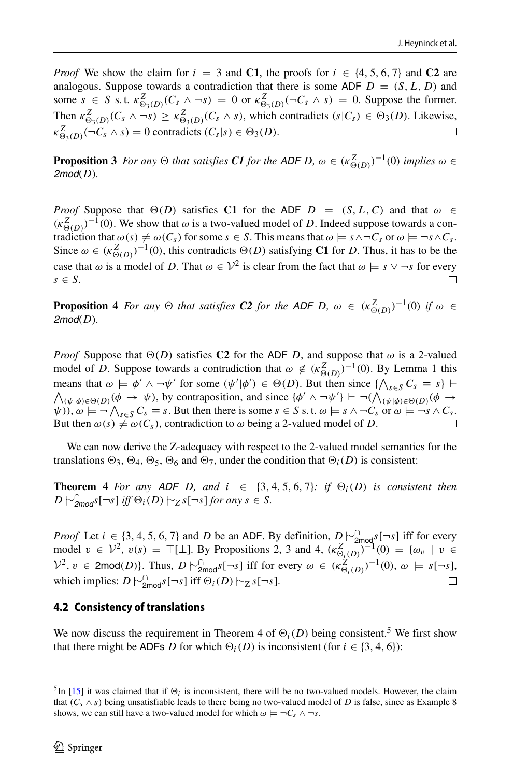*Proof* We show the claim for  $i = 3$  and **C1**, the proofs for  $i \in \{4, 5, 6, 7\}$  and **C2** are analogous. Suppose towards a contradiction that there is some ADF  $D = (S, L, D)$  and some  $s \in S$  s.t.  $\kappa_{\Theta_3(D)}^Z(C_s \wedge \neg s) = 0$  or  $\kappa_{\Theta_3(D)}^Z(\neg C_s \wedge s) = 0$ . Suppose the former. Then  $\kappa_{\Theta_3(D)}^Z(C_s \wedge \neg s) \geq \kappa_{\Theta_3(D)}^Z(C_s \wedge s)$ , which contradicts  $(s|C_s) \in \Theta_3(D)$ . Likewise,  $\kappa_{\Theta_3(D)}^Z(\neg C_s \wedge s) = 0$  contradicts  $(C_s|s) \in \Theta_3(D)$ .  $\Box$ 

**Proposition 3** *For any*  $\Theta$  *that satisfies C1 for the ADF D,*  $\omega \in (\kappa_{\Theta(D)}^Z)^{-1}(0)$  *implies*  $\omega \in$ *2mod(D).*

*Proof* Suppose that  $\Theta(D)$  satisfies C1 for the ADF *D* =  $(S, L, C)$  and that  $\omega \in$  $(\kappa_{\Theta(D)}^Z)^{-1}(0)$ . We show that  $\omega$  is a two-valued model of *D*. Indeed suppose towards a contradiction that  $\omega(s) \neq \omega(C_s)$  for some  $s \in S$ . This means that  $\omega \models s \land \neg C_s$  or  $\omega \models \neg s \land C_s$ . Since  $\omega \in (\kappa_{\Theta(D)}^Z)^{-1}(0)$ , this contradicts  $\Theta(D)$  satisfying **C1** for *D*. Thus, it has to be the case that  $\omega$  is a model of *D*. That  $\omega \in \mathcal{V}^2$  is clear from the fact that  $\omega \models s \vee \neg s$  for every *s* ∈ *S*.

**Proposition 4** *For any*  $\Theta$  *that satisfies C2 for the ADF D,*  $\omega \in (\kappa_{\Theta(D)}^Z)^{-1}(0)$  *if*  $\omega \in$ *2mod(D).*

*Proof* Suppose that  $\Theta(D)$  satisfies **C2** for the ADF *D*, and suppose that  $\omega$  is a 2-valued model of *D*. Suppose towards a contradiction that  $\omega \notin (\kappa_{\Theta(D)}^Z)^{-1}(0)$ . By Lemma 1 this means that  $\omega \models \phi' \land \neg \psi'$  for some  $(\psi'|\phi') \in \Theta(D)$ . But then since  $\{\wedge\}$ means that  $\omega \models \phi' \land \neg \psi'$  for some  $(\psi'|\phi') \in \Theta(D)$ . But then since  $\{\bigwedge_{s \in S} C_s \equiv s\}$   $\vdash$ <br> $\bigwedge_{(\psi|\phi) \in \Theta(D)} (\phi \rightarrow \psi)$ , by contraposition, and since  $\{\phi' \land \neg \psi'\}$   $\vdash \neg (\bigwedge_{(\psi|\phi) \in \Theta(D)} (\phi \rightarrow \phi)$  $\psi$ )),  $\omega \models \neg \bigwedge_{s \in S} C_s \equiv s$ . But then there is some  $s \in S$  s. t.  $\omega \models s \wedge \neg C_s$  or  $\omega \models \neg s \wedge C_s$ . But then  $\omega(s) \neq \omega(C_s)$ , contradiction to  $\omega$  being a 2-valued model of *D*.

We can now derive the Z-adequacy with respect to the 2-valued model semantics for the translations  $\Theta_3$ ,  $\Theta_4$ ,  $\Theta_5$ ,  $\Theta_6$  and  $\Theta_7$ , under the condition that  $\Theta_i(D)$  is consistent:

**Theorem 4** For any ADF D, and  $i \in \{3, 4, 5, 6, 7\}$ : if  $\Theta_i(D)$  is consistent then *D*  $\uparrow$ <sup>*∼*</sup> $_{2mod}$ *s*[¬*s*] *iff*  $\Theta$ <sub>*i*</sub>(*D*)  $\uparrow$ <sub> $\sim$ *z s*[¬*s*] *for any s* ∈ *S.*</sub>

*Proof* Let *i* ∈ {3*,* 4*,* 5*,* 6*,* 7} and *D* be an ADF. By definition,  $D \sim \frac{1}{2}$  [ $\sim$ <sub>2mod</sub><sub>*s*</sub>[ $\sim$ *s*] iff for every model *v* ∈  $V^2$ , *v*(*s*) = ⊤[⊥]. By Propositions 2, 3 and 4,  $(\kappa_{\Theta_i(D)}^Z)^{-1}(0) = {\omega_v \mid v \in \Theta_i}$  $V^2$ , *v* ∈ 2mod(*D*)}. Thus, *D*  $\uparrow$ <sup> $\cap$ </sup><sub>2mod</sub>s[¬*s*] iff for every  $ω ∈ (κ^Z_{\Theta_i(D)})^{-1}(0)$ ,  $ω \models s[¬s]$ , which implies:  $D \n\sim_{2\text{mod}}^D s[-s]$  iff  $\Theta_i(D) \n\sim_Z s[-s]$ .  $\Box$ 

### <span id="page-11-0"></span>**4.2 Consistency of translations**

We now discuss the requirement in Theorem 4 of  $\Theta_i(D)$  being consistent.<sup>5</sup> We first show that there might be ADFs *D* for which  $\Theta_i(D)$  is inconsistent (for  $i \in \{3, 4, 6\}$ ):

<span id="page-11-1"></span><sup>&</sup>lt;sup>5</sup>In [\[15\]](#page-23-1) it was claimed that if  $\Theta_i$  is inconsistent, there will be no two-valued models. However, the claim that  $(C_s \wedge s)$  being unsatisfiable leads to there being no two-valued model of *D* is false, since as Example 8 shows, we can still have a two-valued model for which  $\omega \models \neg C_s \land \neg s$ .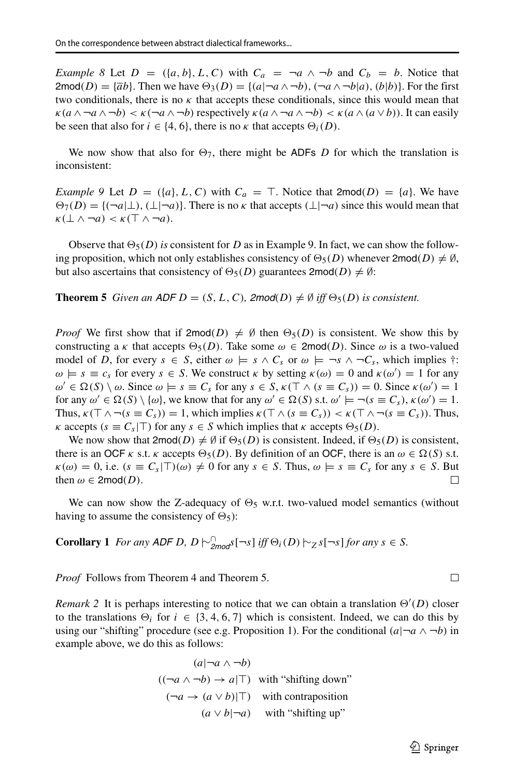*Example 8* Let  $D = (\{a, b\}, L, C)$  with  $C_a = \neg a \land \neg b$  and  $C_b = b$ . Notice that 2mod $(D) = {\overline{a}b}$ . Then we have  $\Theta_3(D) = {(a | \neg a \wedge \neg b), (\neg a \wedge \neg b | a), (b | b)}$ . For the first two conditionals, there is no  $\kappa$  that accepts these conditionals, since this would mean that  $\kappa(a \wedge \neg a \wedge \neg b) < \kappa(\neg a \wedge \neg b)$  respectively  $\kappa(a \wedge \neg a \wedge \neg b) < \kappa(a \wedge (a \vee b))$ . It can easily be seen that also for  $i \in \{4, 6\}$ , there is no  $\kappa$  that accepts  $\Theta_i(D)$ .

We now show that also for  $\Theta_7$ , there might be ADFs *D* for which the translation is inconsistent:

*Example 9* Let  $D = (\{a\}, L, C)$  with  $C_a = T$ . Notice that  $2 \text{mod}(D) = \{a\}$ . We have  $\Theta_7(D) = \{ (\neg a | \bot), (\bot | \neg a) \}.$  There is no *κ* that accepts  $(\bot | \neg a)$  since this would mean that  $\kappa(\perp \wedge \neg a) < \kappa(\top \wedge \neg a).$ 

Observe that  $\Theta_5(D)$  *is* consistent for *D* as in Example 9. In fact, we can show the following proposition, which not only establishes consistency of  $\Theta_5(D)$  whenever  $2 \text{mod}(D) \neq \emptyset$ , but also ascertains that consistency of  $\Theta_5(D)$  guarantees  $2 \text{mod}(D) \neq \emptyset$ :

**Theorem 5** *Given an ADF D* =  $(S, L, C)$ *, 2mod* $(D) \neq \emptyset$  *iff*  $\Theta_5(D)$  *is consistent.* 

*Proof* We first show that if  $2 \text{mod}(D) \neq \emptyset$  then  $\Theta_5(D)$  is consistent. We show this by constructing a *κ* that accepts  $\Theta_5(D)$ . Take some  $\omega \in 2 \text{mod}(D)$ . Since  $\omega$  is a two-valued model of *D*, for every  $s \in S$ , either  $\omega \models s \land C_s$  or  $\omega \models \neg s \land \neg C_s$ , which implies  $\dagger$ :  $\omega \models s \equiv c_s$  for every  $s \in S$ . We construct  $\kappa$  by setting  $\kappa(\omega) = 0$  and  $\kappa(\omega') = 1$  for any  $\omega' \in \Omega(S) \setminus \omega$ . Since  $\omega \models s \equiv C_s$  for any  $s \in S$ ,  $\kappa(\top \wedge (s \equiv C_s)) = 0$ . Since  $\kappa(\omega') = 1$ for any  $\omega' \in \Omega(S) \setminus \{\omega\}$ , we know that for any  $\omega' \in \Omega(S)$  s.t.  $\omega' \models \neg(s \equiv C_s)$ ,  $\kappa(\omega') = 1$ . Thus,  $\kappa(\top \wedge \neg (s \equiv C_s)) = 1$ , which implies  $\kappa(\top \wedge (s \equiv C_s)) < \kappa(\top \wedge \neg (s \equiv C_s))$ . Thus, *κ* accepts  $(s \equiv C_s | T)$  for any  $s \in S$  which implies that *κ* accepts  $\Theta_5(D)$ .

We now show that  $2 \text{mod}(D) \neq \emptyset$  if  $\Theta_5(D)$  is consistent. Indeed, if  $\Theta_5(D)$  is consistent, there is an OCF *κ* s.t. *κ* accepts  $\Theta_5(D)$ . By definition of an OCF, there is an  $\omega \in \Omega(S)$  s.t.  $\kappa(\omega) = 0$ , i.e.  $(s \equiv C_s | \top)(\omega) \neq 0$  for any  $s \in S$ . Thus,  $\omega \models s \equiv C_s$  for any  $s \in S$ . But then  $\omega \in \text{2mod}(D)$ . then  $\omega \in 2 \text{mod}(D)$ .

We can now show the Z-adequacy of  $\Theta_5$  w.r.t. two-valued model semantics (without having to assume the consistency of  $\Theta_5$ :

**Corollary 1** *For any ADF D, D*  $\sim$ <sup>*Q*</sup><sub>2mod</sub>s[¬*s*] *iff*  $\Theta$ <sub>*i*</sub>(*D*)  $\sim$ <sub>*Z*</sub> *s*[¬*s*] *for any s*  $\in$  *S.* 

*Proof* Follows from Theorem 4 and Theorem 5.

*Remark* 2 It is perhaps interesting to notice that we can obtain a translation  $\Theta'(D)$  closer to the translations  $\Theta_i$  for  $i \in \{3, 4, 6, 7\}$  which is consistent. Indeed, we can do this by using our "shifting" procedure (see e.g. Proposition 1). For the conditional  $(a|\neg a \wedge \neg b)$  in example above, we do this as follows:

$$
(a|\neg a \land \neg b)
$$
  

$$
((\neg a \land \neg b) \to a|\top)
$$
 with "shifting down"  

$$
(\neg a \to (a \lor b)|\top)
$$
 with contraposition  

$$
(a \lor b|\neg a)
$$
 with "shifting up"

 $\Box$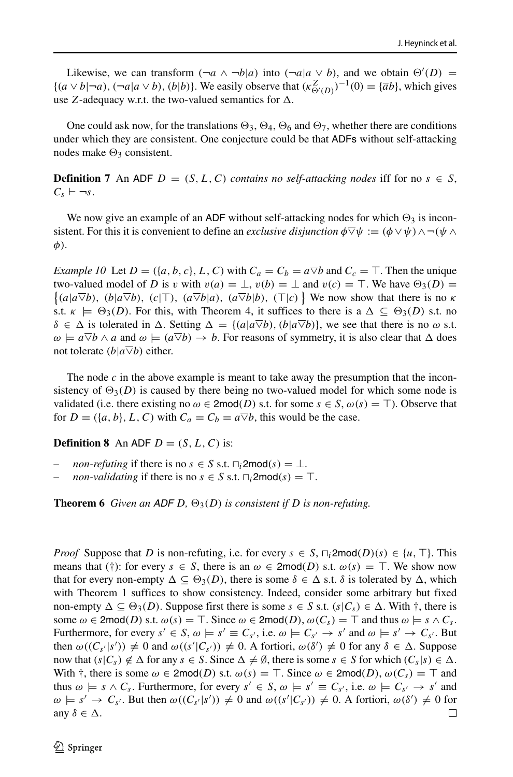Likewise, we can transform  $(\neg a \land \neg b | a)$  into  $(\neg a | a \lor b)$ , and we obtain  $\Theta'(D)$  =  $\{(a \vee b | \neg a), (\neg a | a \vee b), (b | b)\}.$  We easily observe that  $(\kappa_{\Theta'(D)}^Z)^{-1}(0) = {\overline{a}b}$ , which gives use *Z*-adequacy w.r.t. the two-valued semantics for  $\Delta$ .

One could ask now, for the translations  $\Theta_3$ ,  $\Theta_4$ ,  $\Theta_6$  and  $\Theta_7$ , whether there are conditions under which they are consistent. One conjecture could be that ADFs without self-attacking nodes make  $\Theta_3$  consistent.

**Definition 7** An ADF  $D = (S, L, C)$  *contains no self-attacking nodes* iff for no  $s \in S$ ,  $C_s \vdash \neg s$ .

We now give an example of an ADF without self-attacking nodes for which  $\Theta_3$  is inconsistent. For this it is convenient to define an *exclusive disjunction*  $\phi \overline{\vee} \psi := (\phi \vee \psi) \wedge \neg (\psi \wedge \psi)$ *φ)*.

*Example 10* Let  $D = (\{a, b, c\}, L, C)$  with  $C_a = C_b = a \nabla b$  and  $C_c = T$ . Then the unique two-valued model of *D* is *v* with  $v(a) = \bot$ ,  $v(b) = \bot$  and  $v(c) = T$ . We have  $\Theta_3(D) =$ two-valued model of *D* is *v* with  $v(a) = \bot$ ,  $v(b) = \bot$  and  $v(c) = \top$ . We have  $\Theta_3(D) =$ <br>{ $(a|a\overline{\vee}b)$ ,  $(b|a\overline{\vee}b)$ ,  $(c|\top)$ ,  $(a\overline{\vee}b|a)$ ,  $(a\overline{\vee}b|b)$ ,  $(\top|c)$ } We now show that there is no *k* s.t.  $\kappa \models \Theta_3(D)$ . For this, with Theorem 4, it suffices to there is a  $\Delta \subseteq \Theta_3(D)$  s.t. no  $\delta \in \Delta$  is tolerated in  $\Delta$ . Setting  $\Delta = \{(a|a \overline{\vee}b), (b|a \overline{\vee}b)\}$ , we see that there is no  $\omega$  s.t.  $\omega \models a \overline{\vee} b \wedge a$  and  $\omega \models (a \overline{\vee} b) \rightarrow b$ . For reasons of symmetry, it is also clear that  $\Delta$  does not tolerate  $(b|a\nabla b)$  either.

The node *c* in the above example is meant to take away the presumption that the inconsistency of  $\Theta_3(D)$  is caused by there being no two-valued model for which some node is validated (i.e. there existing no  $\omega \in \text{2mod}(D)$  s.t. for some  $s \in S$ ,  $\omega(s) = \top$ ). Observe that for  $D = (\{a, b\}, L, C)$  with  $C_a = C_b = a \overline{\vee} b$ , this would be the case.

**Definition 8** An ADF  $D = (S, L, C)$  is:

- *non-refuting* if there is no  $s \in S$  s.t.  $\sqcap_i$ 2mod $(s) = \bot$ .
- *non-validating* if there is no  $s \in S$  s.t.  $\Box_i$ 2mod $(s) = \top$ .

**Theorem 6** *Given an ADF D,*  $\Theta_3(D)$  *is consistent if D is non-refuting.* 

*Proof* Suppose that *D* is non-refuting, i.e. for every  $s \in S$ ,  $\sqcap_i$ 2mod $(D)(s) \in \{u, \top\}$ . This means that (†): for every  $s \in S$ , there is an  $\omega \in \text{2mod}(D)$  s.t.  $\omega(s) = \top$ . We show now that for every non-empty  $\Delta \subseteq \Theta_3(D)$ , there is some  $\delta \in \Delta$  s.t.  $\delta$  is tolerated by  $\Delta$ , which with Theorem 1 suffices to show consistency. Indeed, consider some arbitrary but fixed non-empty  $\Delta \subseteq \Theta_3(D)$ . Suppose first there is some  $s \in S$  s.t.  $(s|C_s) \in \Delta$ . With  $\dagger$ , there is some  $\omega \in \text{2mod}(D)$  s.t.  $\omega(s) = \top$ . Since  $\omega \in \text{2mod}(D)$ ,  $\omega(C_s) = \top$  and thus  $\omega \models s \land C_s$ . Furthermore, for every  $s' \in S$ ,  $\omega \models s' \equiv C_{s'}$ , i.e.  $\omega \models C_{s'} \rightarrow s'$  and  $\omega \models s' \rightarrow C_{s'}$ . But then  $\omega((C_{s'}|s')) \neq 0$  and  $\omega((s'|C_{s'})) \neq 0$ . A fortiori,  $\omega(\delta') \neq 0$  for any  $\delta \in \Delta$ . Suppose now that  $(s|C_s) \notin \Delta$  for any  $s \in S$ . Since  $\Delta \neq \emptyset$ , there is some  $s \in S$  for which  $(C_s|s) \in \Delta$ . With  $\dagger$ , there is some  $\omega \in \text{2mod}(D)$  s.t.  $\omega(s) = \top$ . Since  $\omega \in \text{2mod}(D)$ ,  $\omega(C_s) = \top$  and thus  $\omega \models s \land C_s$ . Furthermore, for every  $s' \in S$ ,  $\omega \models s' \equiv C_{s'}$ , i.e.  $\omega \models C_{s'} \rightarrow s'$  and  $\omega \models s' \rightarrow C_{s'}$ . But then  $\omega((C_{s'}|s')) \neq 0$  and  $\omega((s'|C_{s'})) \neq 0$ . A fortiori,  $\omega(\delta') \neq 0$  for any  $\delta \in \Delta$ .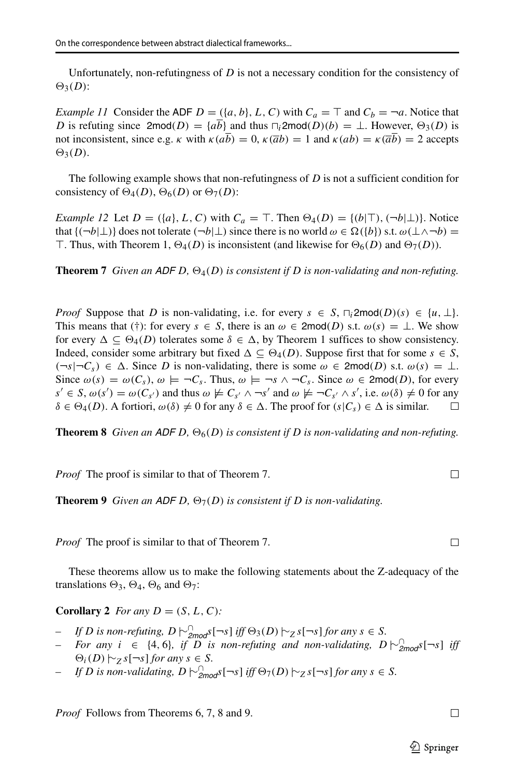Unfortunately, non-refutingness of *D* is not a necessary condition for the consistency of  $\Theta_3(D)$ :

*Example 11* Consider the ADF  $D = (\{a, b\}, L, C)$  with  $C_a = \top$  and  $C_b = \neg a$ . Notice that *D* is refuting since  $2 \text{mod}(D) = \{a\overline{b}\}\$ and thus  $\bigcap_i 2 \text{mod}(D)(b) = \bot$ . However,  $\Theta_3(D)$  is not inconsistent, since e.g. *κ* with  $\kappa(a\overline{b}) = 0$ ,  $\kappa(\overline{a}b) = 1$  and  $\kappa(ab) = \kappa(\overline{a}\overline{b}) = 2$  accepts  $\Theta_3(D)$ .

The following example shows that non-refutingness of *D* is not a sufficient condition for consistency of  $\Theta_4(D)$ ,  $\Theta_6(D)$  or  $\Theta_7(D)$ :

*Example 12* Let  $D = (\{a\}, L, C)$  with  $C_a = \top$ . Then  $\Theta_4(D) = \{ (b | \top), (\neg b | \bot) \}$ . Notice that  $\{(\neg b|\bot) \}$  does not tolerate  $(\neg b|\bot)$  since there is no world  $\omega \in \Omega(\{b\})$  s.t.  $\omega(\bot \wedge \neg b) =$ T. Thus, with Theorem 1,  $\Theta_4(D)$  is inconsistent (and likewise for  $\Theta_6(D)$  and  $\Theta_7(D)$ ).

**Theorem 7** *Given an ADF D,*  $\Theta_4(D)$  *is consistent if D is non-validating and non-refuting.* 

*Proof* Suppose that *D* is non-validating, i.e. for every  $s \in S$ ,  $\sqcap_i$ 2mod $(D)(s) \in \{u, \perp\}.$ This means that (†): for every  $s \in S$ , there is an  $\omega \in 2mod(D)$  s.t.  $\omega(s) = \bot$ . We show for every  $\Delta \subseteq \Theta_4(D)$  tolerates some  $\delta \in \Delta$ , by Theorem 1 suffices to show consistency. Indeed, consider some arbitrary but fixed  $\Delta \subseteq \Theta_4(D)$ . Suppose first that for some  $s \in S$ ,  $(\neg s | \neg C_s)$  ∈  $\Delta$ . Since *D* is non-validating, there is some  $\omega \in 2mod(D)$  s.t.  $\omega(s) = \bot$ . Since  $\omega(s) = \omega(C_s)$ ,  $\omega \models \neg C_s$ . Thus,  $\omega \models \neg s \land \neg C_s$ . Since  $\omega \in \text{2mod}(D)$ , for every  $s' \in S$ ,  $\omega(s') = \omega(C_{s'})$  and thus  $\omega \not\models C_{s'} \wedge \neg s'$  and  $\omega \not\models \neg C_{s'} \wedge s'$ , i.e.  $\omega(\delta) \neq 0$  for any  $\delta \in \Theta_4(D)$ . A fortiori,  $\omega(\delta) \neq 0$  for any  $\delta \in \Delta$ . The proof for  $(s|C_s) \in \Delta$  is similar.

**Theorem 8** *Given an ADF D,*  $\Theta_6(D)$  *is consistent if D is non-validating and non-refuting.* 

*Proof* The proof is similar to that of Theorem 7.

**Theorem 9** *Given an ADF D,*  $\Theta_7(D)$  *is consistent if D is non-validating.* 

*Proof* The proof is similar to that of Theorem 7.

These theorems allow us to make the following statements about the Z-adequacy of the translations  $\Theta_3$ ,  $\Theta_4$ ,  $\Theta_6$  and  $\Theta_7$ :

**Corollary 2** *For any*  $D = (S, L, C)$ *:* 

- *– If D is non-refuting*,  $D \sim_{2\text{mod}}^0 S[-S]$  *iff*  $\Theta_3(D) \sim_Z S[-S]$  *for any*  $s \in S$ *.*
- *–* For any *i* ∈ {4,6}, *if D is non-refuting and non-validating,*  $D \sim_{2mod}^{0}$ *s*[¬*s*] *iff*  $\Theta_i(D)$   $\sim$  *z s*[¬*s*] *for any s* ∈ *S.*
- *– If D is non-validating,*  $D \sim_{2mod}^n s[-s]$  *iff*  $\Theta_7(D) \sim_Z s[-s]$  *for any*  $s \in S$ *.*

*Proof* Follows from Theorems 6, 7, 8 and 9.

 $\Box$ 

 $\Box$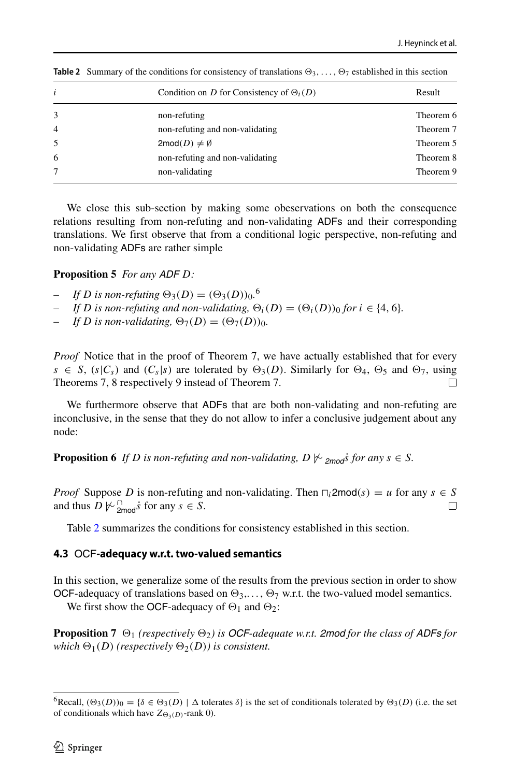| i              | Condition on D for Consistency of $\Theta_i(D)$ | Result    |
|----------------|-------------------------------------------------|-----------|
| 3              | non-refuting                                    | Theorem 6 |
| $\overline{4}$ | non-refuting and non-validating                 | Theorem 7 |
| 5              | $2 \text{mod}(D) \neq \emptyset$                | Theorem 5 |
| 6              | non-refuting and non-validating                 | Theorem 8 |
| 7              | non-validating                                  | Theorem 9 |

<span id="page-15-2"></span>**Table 2** Summary of the conditions for consistency of translations  $\Theta_3, \ldots, \Theta_7$  established in this section

We close this sub-section by making some obeservations on both the consequence relations resulting from non-refuting and non-validating ADFs and their corresponding translations. We first observe that from a conditional logic perspective, non-refuting and non-validating ADFs are rather simple

#### **Proposition 5** *For any ADF D:*

- *– If D* is non-refuting  $\Theta_3(D) = (\Theta_3(D))_0$ <sup>[6](#page-15-1)</sup>
- *If D* is non-refuting and non-validating,  $\Theta_i(D) = (\Theta_i(D))_0$  for  $i \in \{4, 6\}$ .
- *If D* is non-validating,  $\Theta_7(D) = (\Theta_7(D))_0$ .

*Proof* Notice that in the proof of Theorem 7, we have actually established that for every *s* ∈ *S*,  $(s|C_s)$  and  $(C_s|s)$  are tolerated by  $\Theta_3(D)$ . Similarly for  $\Theta_4$ ,  $\Theta_5$  and  $\Theta_7$ , using Theorems 7. 8 respectively 9 instead of Theorem 7. Theorems 7, 8 respectively 9 instead of Theorem 7.

We furthermore observe that ADFs that are both non-validating and non-refuting are inconclusive, in the sense that they do not allow to infer a conclusive judgement about any node:

**Proposition 6** *If D is non-refuting and non-validating,*  $D \not\vdash_{\text{2mod}}$ *s for any*  $s \in S$ *.* 

*Proof* Suppose *D* is non-refuting and non-validating. Then  $\bigcap_i 2 \text{mod}(s) = u$  for any  $s \in S$  and thus  $D \not\vdash^{\bigcirc}_{s}$  is for any  $s \in S$ . and thus  $D \not\sim \frac{1}{2 \text{mod}} \dot{s}$  for any  $s \in S$ .

Table [2](#page-15-2) summarizes the conditions for consistency established in this section.

### <span id="page-15-0"></span>**4.3** OCF**-adequacy w.r.t. two-valued semantics**

In this section, we generalize some of the results from the previous section in order to show OCF-adequacy of translations based on  $\Theta_3, \dots, \Theta_7$  w.r.t. the two-valued model semantics.

We first show the OCF-adequacy of  $\Theta_1$  and  $\Theta_2$ :

**Proposition 7**  $\Theta_1$  (respectively  $\Theta_2$ ) is OCF-adequate w.r.t. 2mod for the class of ADFs for *which*  $\Theta_1(D)$  (respectively  $\Theta_2(D)$ ) is consistent.

<span id="page-15-1"></span><sup>&</sup>lt;sup>6</sup>Recall,  $(\Theta_3(D))_0 = {\delta \in \Theta_3(D) \mid \Delta \text{ tolerates } \delta}$  is the set of conditionals tolerated by  $\Theta_3(D)$  (i.e. the set of conditionals which have  $Z_{\Theta_3(D)}$ -rank 0).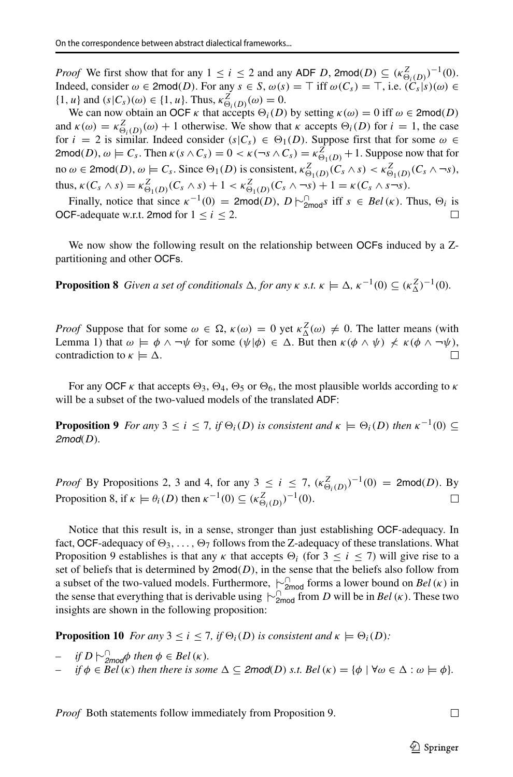*Proof* We first show that for any  $1 \le i \le 2$  and any ADF *D*, 2mod $(D) \subseteq (\kappa_{\Theta_i(D)}^Z)^{-1}(0)$ . Indeed, consider  $\omega \in \text{2mod}(D)$ . For any  $s \in S$ ,  $\omega(s) = \top$  iff  $\omega(C_s) = \top$ , i.e.  $(C_s|s)(\omega) \in$ {1*, u*} and  $(s|C_s)(\omega) \in \{1, u\}$ . Thus,  $\kappa_{\Theta_i(D)}^Z(\omega) = 0$ .

We can now obtain an OCF *κ* that accepts  $\Theta_i(D)$  by setting  $\kappa(\omega) = 0$  iff  $\omega \in \text{2mod}(D)$ and  $\kappa(\omega) = \kappa_{\Theta_i(D)}^Z(\omega) + 1$  otherwise. We show that  $\kappa$  accepts  $\Theta_i(D)$  for  $i = 1$ , the case for  $i = 2$  is similar. Indeed consider  $(s|C_s) \in \Theta_1(D)$ . Suppose first that for some  $\omega \in$  $2\text{mod}(D)$ ,  $\omega \models C_s$ . Then  $\kappa(s \wedge C_s) = 0 < \kappa(\neg s \wedge C_s) = \kappa_{\Theta_1(D)}^Z + 1$ . Suppose now that for  $\omega \in \text{2mod}(D), \omega \models C_s$ . Since  $\Theta_1(D)$  is consistent,  $\kappa^Z_{\Theta_1(D)}(C_s \wedge s) < \kappa^Z_{\Theta_1(D)}(C_s \wedge \neg s)$ , thus,  $\kappa(C_s \wedge s) = \kappa_{\Theta_1(D)}^Z(C_s \wedge s) + 1 < \kappa_{\Theta_1(D)}^Z(C_s \wedge \neg s) + 1 = \kappa(C_s \wedge s \neg s).$ 

Finally, notice that since  $\kappa^{-1}(0) = 2 \text{mod}(D)$ ,  $D \sim_{2 \text{mod}}^{\cap} s$  iff  $s \in Bel(\kappa)$ . Thus,  $\Theta_i$  is OCF-adequate w.r.t. 2mod for  $1 \le i \le 2$ .

We now show the following result on the relationship between OCFs induced by a Zpartitioning and other OCFs.

**Proposition 8** *Given a set of conditionals*  $\Delta$ *, for any*  $\kappa$  *s.t.*  $\kappa \models \Delta$ *,*  $\kappa^{-1}(0) \subseteq (\kappa_{\Delta}^Z)^{-1}(0)$ *.* 

*Proof* Suppose that for some  $\omega \in \Omega$ ,  $\kappa(\omega) = 0$  yet  $\kappa^Z(\omega) \neq 0$ . The latter means (with Lemma 1) that  $\omega \models \phi \land \neg \psi$  for some  $(\psi | \phi) \in \Delta$ . But then  $\kappa(\phi \land \psi) \nless \kappa(\phi \land \neg \psi)$ , contradiction to  $\kappa \models \Delta$ . contradiction to  $\kappa \models \Delta$ .

For any OCF  $\kappa$  that accepts  $\Theta_3$ ,  $\Theta_4$ ,  $\Theta_5$  or  $\Theta_6$ , the most plausible worlds according to  $\kappa$ will be a subset of the two-valued models of the translated ADF:

**Proposition 9** *For any*  $3 \le i \le 7$ *, if*  $\Theta_i(D)$  *is consistent and*  $\kappa \models \Theta_i(D)$  *then*  $\kappa^{-1}(0) \subseteq$ *2mod(D).*

*Proof* By Propositions 2, 3 and 4, for any 3  $\leq i \leq 7$ ,  $(\kappa_{\Theta_i(D)}^Z)^{-1}(0) = 2 \text{mod}(D)$ . By Proposition 8, if  $\kappa \models \theta_i(D)$  then  $\kappa^{-1}(0) \subseteq (\kappa_{\Theta_i(D)}^Z)^{-1}(0)$ . □

Notice that this result is, in a sense, stronger than just establishing OCF-adequacy. In fact, OCF-adequacy of  $\Theta_3, \ldots, \Theta_7$  follows from the Z-adequacy of these translations. What Proposition 9 establishes is that any *κ* that accepts  $\Theta_i$  (for  $3 \le i \le 7$ ) will give rise to a set of beliefs that is determined by  $2mod(D)$ , in the sense that the beliefs also follow from a subset of the two-valued models. Furthermore, |∼∩ 2mod forms a lower bound on *Bel(κ)* in the sense that everything that is derivable using  $\sim_{\text{2mod}}^{\text{1}}$  from *D* will be in *Bel* (*κ*). These two insights are shown in the following proposition:

**Proposition 10** *For any*  $3 \le i \le 7$ *, if*  $\Theta_i(D)$  *is consistent and*  $\kappa \models \Theta_i(D)$ *:* 

- $-$  *if*  $D \n\sim_{2mod}^D \phi$  *then*  $\phi \in Bel(K)$ *.*
- *if*  $\phi \in Bel(K)$  *then there is some*  $\Delta \subseteq \text{2mod}(D)$  *s.t.*  $Bel(K) = {\phi \mid \forall \omega \in \Delta : \omega \models \phi}$ *.*

*Proof* Both statements follow immediately from Proposition 9.

 $\Box$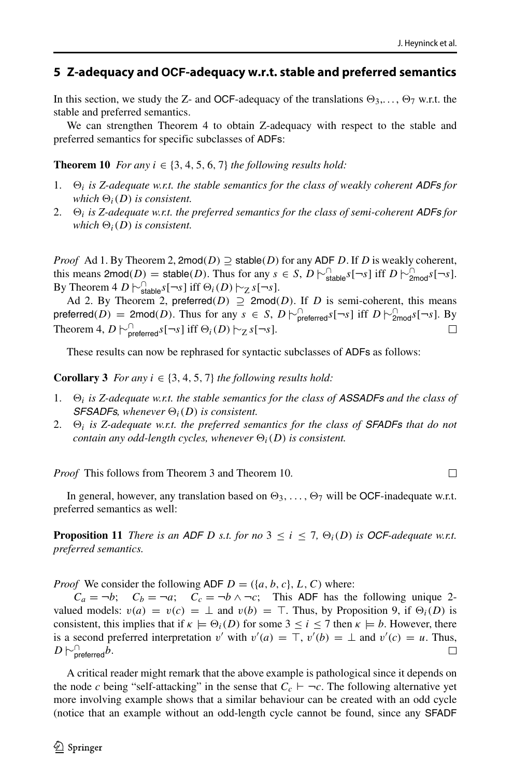$\Box$ 

### <span id="page-17-0"></span>**5 Z-adequacy and OCF-adequacy w.r.t. stable and preferred semantics**

In this section, we study the Z- and OCF-adequacy of the translations  $\Theta_3, \ldots, \Theta_7$  w.r.t. the stable and preferred semantics.

We can strengthen Theorem 4 to obtain Z-adequacy with respect to the stable and preferred semantics for specific subclasses of ADFs:

**Theorem 10** *For any*  $i \in \{3, 4, 5, 6, 7\}$  *the following results hold:* 

- 1.  $\Theta_i$  *is Z-adequate w.r.t. the stable semantics for the class of weakly coherent ADFs for which*  $\Theta_i(D)$  *is consistent.*
- 2.  $\Theta_i$  is Z-adequate w.r.t. the preferred semantics for the class of semi-coherent ADFs for *which*  $\Theta_i(D)$  *is consistent.*

*Proof* Ad 1. By Theorem 2, 2mod $(D) \supseteq$  stable $(D)$  for any ADF *D*. If *D* is weakly coherent, this means  $2\text{mod}(D) = \text{stable}(D)$ . Thus for any  $s \in S$ ,  $D \sim_{\text{stable}}^{1} s[-s]$  iff  $D \sim_{\text{2mod}}^{1} s[-s]$ . By Theorem 4 *D*  $\sim$ <sup>[1</sup>stable<sup>*s*[→*s*] iff  $\Theta_i(D)$   $\sim$ <sub>Z</sub> *s*[→*s*].</sup>

Ad 2. By Theorem 2, preferred $(D) \supseteq 2 \text{mod}(D)$ . If *D* is semi-coherent, this means  $\mathsf{prefered}(D) = 2\mathsf{mod}(D)$ . Thus for any  $s \in S$ ,  $D \models_{\mathsf{prefered}}^{\Box} s[-s]$  iff  $D \models_{\mathsf{2mod}}^{\Box} s[-s]$ . By Theorem 4,  $D \sim_{\text{preferred}}^{\cap} s[\neg s]$  iff  $\Theta_i(D) \sim_{Z} s[\neg s]$ .  $\Box$ 

These results can now be rephrased for syntactic subclasses of ADFs as follows:

**Corollary 3** *For any*  $i \in \{3, 4, 5, 7\}$  *the following results hold:* 

- 1.  $\Theta_i$  is Z-adequate w.r.t. the stable semantics for the class of **ASSADFs** and the class of *SFSADFs, whenever*  $\Theta_i(D)$  *is consistent.*
- 2. *i is Z-adequate w.r.t. the preferred semantics for the class of SFADFs that do not contain any odd-length cycles, whenever*  $\Theta_i(D)$  *is consistent.*

*Proof* This follows from Theorem 3 and Theorem 10.

In general, however, any translation based on  $\Theta_3, \ldots, \Theta_7$  will be OCF-inadequate w.r.t. preferred semantics as well:

**Proposition 11** *There is an ADF D s.t. for no*  $3 \le i \le 7$ ,  $\Theta_i(D)$  *is OCF-adequate w.r.t. preferred semantics.*

*Proof* We consider the following ADF  $D = (\{a, b, c\}, L, C)$  where:

 $C_a = \neg b$ ;  $C_b = \neg a$ ;  $C_c = \neg b \land \neg c$ ; This ADF has the following unique 2valued models:  $v(a) = v(c) = \perp$  and  $v(b) = \top$ . Thus, by Proposition 9, if  $\Theta_i(D)$  is consistent, this implies that if  $\kappa \models \Theta_i(D)$  for some  $3 \le i \le 7$  then  $\kappa \models b$ . However, there is a second preferred interpretation *v'* with  $v'(a) = \top$ ,  $v'(b) = \bot$  and  $v'(c) = u$ . Thus,  $D$   $\vdash^{\cap}_{\mathsf{preferred}} b$ .

A critical reader might remark that the above example is pathological since it depends on the node *c* being "self-attacking" in the sense that  $C_c \vdash \neg c$ . The following alternative yet more involving example shows that a similar behaviour can be created with an odd cycle (notice that an example without an odd-length cycle cannot be found, since any SFADF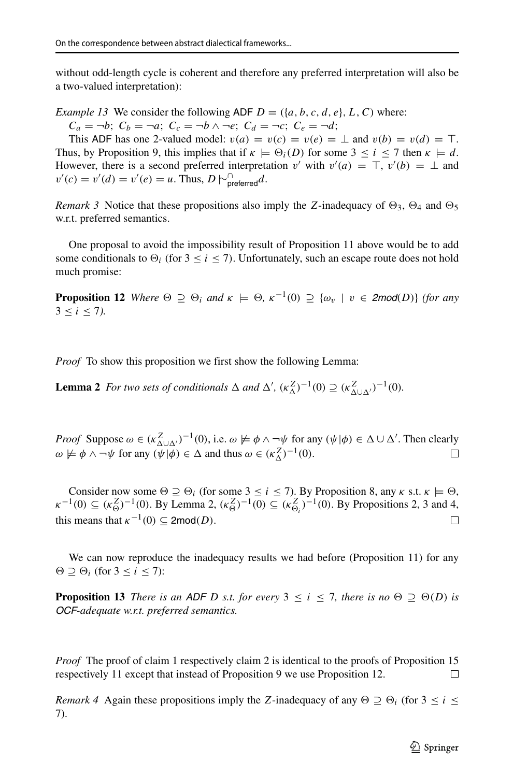without odd-length cycle is coherent and therefore any preferred interpretation will also be a two-valued interpretation):

*Example 13* We consider the following ADF  $D = (\{a, b, c, d, e\}, L, C)$  where:

 $C_a = \neg b; \ C_b = \neg a; \ C_c = \neg b \land \neg e; \ C_d = \neg c; \ C_e = \neg d;$ 

This ADF has one 2-valued model:  $v(a) = v(c) = v(e) = \perp$  and  $v(b) = v(d) = \top$ . Thus, by Proposition 9, this implies that if  $\kappa \models \Theta_i(D)$  for some  $3 \le i \le 7$  then  $\kappa \models d$ . However, there is a second preferred interpretation *v'* with  $v'(a) = \top$ ,  $v'(b) = \bot$  and  $v'(c) = v'(d) = v'(e) = u$ . Thus,  $D \vdash_{\text{preferred}}^{\cap} d$ .

*Remark 3* Notice that these propositions also imply the *Z*-inadequacy of  $\Theta_3$ ,  $\Theta_4$  and  $\Theta_5$ w.r.t. preferred semantics.

One proposal to avoid the impossibility result of Proposition 11 above would be to add some conditionals to  $\Theta_i$  (for  $3 \le i \le 7$ ). Unfortunately, such an escape route does not hold much promise:

**Proposition 12** Where  $\Theta \supseteq \Theta_i$  and  $\kappa \models \Theta$ ,  $\kappa^{-1}(0) \supseteq {\omega_v \mid v \in 2mod(D)}$  (for any  $3 \le i \le 7$ ).

*Proof* To show this proposition we first show the following Lemma:

**Lemma 2** *For two sets of conditionals*  $\Delta$  *and*  $\Delta'$ ,  $(\kappa_{\Delta}^Z)^{-1}(0) \supseteq (\kappa_{\Delta \cup \Delta'}^Z)^{-1}(0)$ *.* 

*Proof* Suppose  $\omega \in (\kappa_{\Delta \cup \Delta'}^Z)^{-1}(0)$ , i.e.  $\omega \not\models \phi \land \neg \psi$  for any  $(\psi | \phi) \in \Delta \cup \Delta'$ . Then clearly  $\omega \not\models \phi \land \neg \psi$  for any  $(\psi | \phi) \in \Delta$  and thus  $\omega \in (\kappa_{\Delta}^Z)^{-1}(0)$ .  $\Box$ 

Consider now some  $\Theta \supseteq \Theta_i$  (for some  $3 \le i \le 7$ ). By Proposition 8, any  $\kappa$  s.t.  $\kappa \models \Theta$ , *κ*<sup>-1</sup>(0) ⊆ ( $\kappa_0^Z$ )<sup>-1</sup>(0). By Lemma 2,  $(\kappa_0^Z)^{-1}(0)$  ⊆ ( $\kappa_{\Theta_i}^Z$ )<sup>-1</sup>(0). By Propositions 2, 3 and 4, this means that  $\kappa^{-1}(0) \subseteq 2 \text{mod}(D)$ .  $\Box$ 

We can now reproduce the inadequacy results we had before (Proposition 11) for any  $\Theta \supseteq \Theta_i$  (for  $3 \leq i \leq 7$ ):

**Proposition 13** *There is an ADF D s.t. for every*  $3 \le i \le 7$ *, there is no*  $\Theta \supset \Theta(D)$  *is OCF-adequate w.r.t. preferred semantics.*

*Proof* The proof of claim 1 respectively claim 2 is identical to the proofs of Proposition 15 respectively 11 except that instead of Proposition 9 we use Proposition 12. □

*Remark 4* Again these propositions imply the *Z*-inadequacy of any  $\Theta \supseteq \Theta_i$  (for  $3 \leq i \leq$ 7).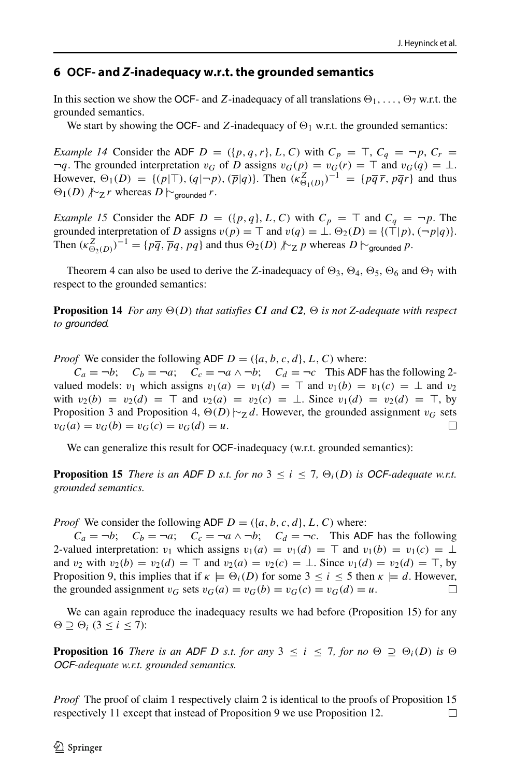### <span id="page-19-0"></span>**6 OCF- and** *Z***-inadequacy w.r.t. the grounded semantics**

In this section we show the OCF- and *Z*-inadequacy of all translations  $\Theta_1, \ldots, \Theta_7$  w.r.t. the grounded semantics.

We start by showing the OCF- and *Z*-inadequacy of  $\Theta_1$  w.r.t. the grounded semantics:

*Example 14* Consider the ADF *D* =  $({p, q, r}, L, C)$  with  $C_p = T, C_q = \neg p, C_r =$  $\neg q$ . The grounded interpretation *v<sub>G</sub>* of *D* assigns  $v_G(p) = v_G(r) = \top$  and  $v_G(q) = \bot$ . However,  $\Theta_1(D) = \{ (p | \top), (q | \neg p), (\overline{p} | q) \}$ . Then  $(\kappa_{\Theta_1(D)}^Z)^{-1} = \{ p \overline{q} \overline{r}, p \overline{q} r \}$  and thus  $\Theta$ <sub>1</sub>(*D*)  $\text{/*}_Z r$  whereas *D*  $\vdash$ <sub>qrounded</sub> *r*.

*Example 15* Consider the ADF  $D = (\{p, q\}, L, C)$  with  $C_p = \top$  and  $C_q = \neg p$ . The grounded interpretation of *D* assigns  $v(p) = \top$  and  $v(q) = \bot$ .  $\Theta_2(D) = \{(\top | p), (\neg p | q)\}.$ Then  $(\kappa_{\Theta_2(D)}^Z)^{-1} = \{p\overline{q}, \overline{p}q, pq\}$  and thus  $\Theta_2(D) \not\sim_Z p$  whereas  $D \vdash_{\text{grounded}} p$ .

Theorem 4 can also be used to derive the Z-inadequacy of  $\Theta_3$ ,  $\Theta_4$ ,  $\Theta_5$ ,  $\Theta_6$  and  $\Theta_7$  with respect to the grounded semantics:

**Proposition 14** *For any*  $\Theta(D)$  *that satisfies C1 and C2*,  $\Theta$  *is not Z-adequate with respect to grounded.*

*Proof* We consider the following ADF  $D = (\{a, b, c, d\}, L, C)$  where:

 $C_a = \neg b$ ;  $C_b = \neg a$ ;  $C_c = \neg a \land \neg b$ ;  $C_d = \neg c$  This ADF has the following 2valued models: *v*<sub>1</sub> which assigns  $v_1(a) = v_1(d) = \top$  and  $v_1(b) = v_1(c) = \bot$  and *v*<sub>2</sub> with  $v_2(b) = v_2(d) = \top$  and  $v_2(a) = v_2(c) = \bot$ . Since  $v_1(d) = v_2(d) = \top$ , by Proposition 3 and Proposition 4,  $\Theta(D) \sim_Z d$ . However, the grounded assignment *v<sub>G</sub>* sets  $v_G(a) = v_G(b) = v_G(c) = v_G(d) = u$ .  $v_G(a) = v_G(b) = v_G(c) = v_G(d) = u.$ 

We can generalize this result for OCF-inadequacy (w.r.t. grounded semantics):

**Proposition 15** *There is an ADF D s.t. for no*  $3 \le i \le 7$ ,  $\Theta_i(D)$  *is OCF-adequate w.r.t. grounded semantics.*

*Proof* We consider the following ADF  $D = (\{a, b, c, d\}, L, C)$  where:

 $C_a = \neg b$ ;  $C_b = \neg a$ ;  $C_c = \neg a \land \neg b$ ;  $C_d = \neg c$ . This ADF has the following 2-valued interpretation: *v*<sub>1</sub> which assigns  $v_1(a) = v_1(d) = \top$  and  $v_1(b) = v_1(c) = \bot$ and *v*<sub>2</sub> with  $v_2(b) = v_2(d) = \top$  and  $v_2(a) = v_2(c) = \bot$ . Since  $v_1(d) = v_2(d) = \top$ , by Proposition 9, this implies that if  $\kappa \models \Theta_i(D)$  for some  $3 \le i \le 5$  then  $\kappa \models d$ . However, the grounded assignment  $v_G$  sets  $v_G(a) = v_G(b) = v_G(c) = v_G(d) = u$ . П

We can again reproduce the inadequacy results we had before (Proposition 15) for any  $\Theta \supseteq \Theta_i$  (3  $\leq i \leq 7$ ):

**Proposition 16** *There is an ADF D s.t. for any*  $3 \le i \le 7$ *, for no*  $\Theta \supseteq \Theta_i(D)$  *is*  $\Theta$ *OCF-adequate w.r.t. grounded semantics.*

*Proof* The proof of claim 1 respectively claim 2 is identical to the proofs of Proposition 15 respectively 11 except that instead of Proposition 9 we use Proposition 12. $\Box$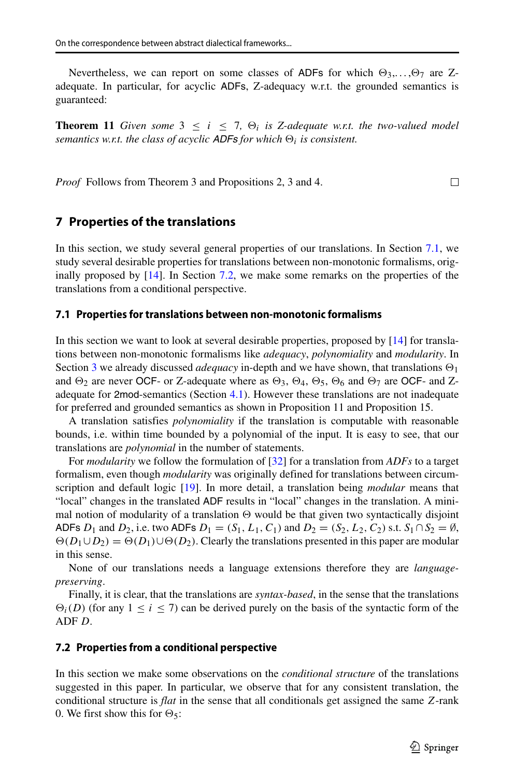Nevertheless, we can report on some classes of ADFs for which  $\Theta_3, \ldots, \Theta_7$  are Zadequate. In particular, for acyclic ADFs, Z-adequacy w.r.t. the grounded semantics is guaranteed:

**Theorem 11** *Given some*  $3 \leq i \leq 7$ ,  $\Theta_i$  *is Z-adequate w.r.t. the two-valued model semantics w.r.t. the class of acyclic ADFs for which*  $\Theta_i$  *is consistent.* 

*Proof* Follows from Theorem 3 and Propositions 2, 3 and 4.

# <span id="page-20-0"></span>**7 Properties of the translations**

In this section, we study several general properties of our translations. In Section [7.1,](#page-20-1) we study several desirable properties for translations between non-monotonic formalisms, originally proposed by [\[14\]](#page-23-12). In Section [7.2,](#page-20-2) we make some remarks on the properties of the translations from a conditional perspective.

### <span id="page-20-1"></span>**7.1 Properties for translations between non-monotonic formalisms**

In this section we want to look at several desirable properties, proposed by [\[14\]](#page-23-12) for translations between non-monotonic formalisms like *adequacy*, *polynomiality* and *modularity*. In Section [3](#page-7-0) we already discussed *adequacy* in-depth and we have shown, that translations  $\Theta_1$ and  $\Theta_2$  are never OCF- or Z-adequate where as  $\Theta_3$ ,  $\Theta_4$ ,  $\Theta_5$ ,  $\Theta_6$  and  $\Theta_7$  are OCF- and Zadequate for 2mod-semantics (Section [4.1\)](#page-10-1). However these translations are not inadequate for preferred and grounded semantics as shown in Proposition 11 and Proposition 15.

A translation satisfies *polynomiality* if the translation is computable with reasonable bounds, i.e. within time bounded by a polynomial of the input. It is easy to see, that our translations are *polynomial* in the number of statements.

For *modularity* we follow the formulation of [\[32\]](#page-24-5) for a translation from *ADFs* to a target formalism, even though *modularity* was originally defined for translations between circumscription and default logic [\[19\]](#page-23-13). In more detail, a translation being *modular* means that "local" changes in the translated ADF results in "local" changes in the translation. A minimal notion of modularity of a translation  $\Theta$  would be that given two syntactically disjoint ADFs *D*<sub>1</sub> and *D*<sub>2</sub>, i.e. two ADFs  $D_1 = (S_1, L_1, C_1)$  and  $D_2 = (S_2, L_2, C_2)$  s.t.  $S_1 \cap S_2 = \emptyset$ ,  $\Theta(D_1 \cup D_2) = \Theta(D_1) \cup \Theta(D_2)$ . Clearly the translations presented in this paper are modular in this sense.

None of our translations needs a language extensions therefore they are *languagepreserving*.

Finally, it is clear, that the translations are *syntax-based*, in the sense that the translations  $\Theta_i(D)$  (for any  $1 \le i \le 7$ ) can be derived purely on the basis of the syntactic form of the ADF *D*.

### <span id="page-20-2"></span>**7.2 Properties from a conditional perspective**

In this section we make some observations on the *conditional structure* of the translations suggested in this paper. In particular, we observe that for any consistent translation, the conditional structure is *flat* in the sense that all conditionals get assigned the same *Z*-rank 0. We first show this for  $\Theta_5$ :

 $\Box$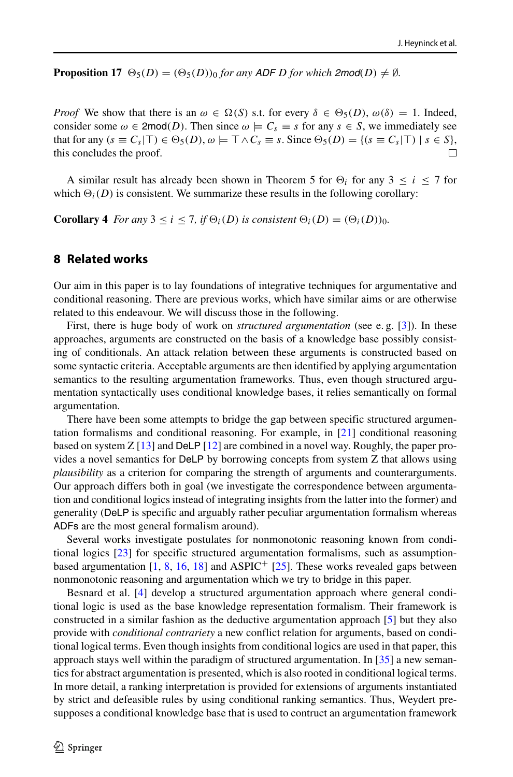**Proposition 17**  $\Theta_5(D) = (\Theta_5(D))_0$  *for any ADF D for which 2mod*(*D*)  $\neq \emptyset$ *.* 

*Proof* We show that there is an  $\omega \in \Omega(S)$  s.t. for every  $\delta \in \Theta_5(D)$ ,  $\omega(\delta) = 1$ . Indeed, consider some  $\omega \in \text{2mod}(D)$ . Then since  $\omega \models C_s \equiv s$  for any  $s \in S$ , we immediately see that for any  $(s \equiv C_s | \top) \in \Theta_5(D)$ ,  $\omega \models \top \wedge C_s \equiv s$ . Since  $\Theta_5(D) = \{(s \equiv C_s | \top) | s \in S\}$ , this concludes the proof.

A similar result has already been shown in Theorem 5 for  $\Theta_i$  for any 3  $\leq i \leq 7$  for which  $\Theta_i(D)$  is consistent. We summarize these results in the following corollary:

**Corollary 4** *For any*  $3 \le i \le 7$ *, if*  $\Theta_i(D)$  *is consistent*  $\Theta_i(D) = (\Theta_i(D))_0$ *.* 

# <span id="page-21-0"></span>**8 Related works**

Our aim in this paper is to lay foundations of integrative techniques for argumentative and conditional reasoning. There are previous works, which have similar aims or are otherwise related to this endeavour. We will discuss those in the following.

First, there is huge body of work on *structured argumentation* (see e. g. [\[3\]](#page-23-14)). In these approaches, arguments are constructed on the basis of a knowledge base possibly consisting of conditionals. An attack relation between these arguments is constructed based on some syntactic criteria. Acceptable arguments are then identified by applying argumentation semantics to the resulting argumentation frameworks. Thus, even though structured argumentation syntactically uses conditional knowledge bases, it relies semantically on formal argumentation.

There have been some attempts to bridge the gap between specific structured argumentation formalisms and conditional reasoning. For example, in [\[21\]](#page-23-3) conditional reasoning based on system  $Z$  [\[13\]](#page-23-5) and DeLP [\[12\]](#page-23-15) are combined in a novel way. Roughly, the paper provides a novel semantics for DeLP by borrowing concepts from system Z that allows using *plausibility* as a criterion for comparing the strength of arguments and counterarguments. Our approach differs both in goal (we investigate the correspondence between argumentation and conditional logics instead of integrating insights from the latter into the former) and generality (DeLP is specific and arguably rather peculiar argumentation formalism whereas ADFs are the most general formalism around).

Several works investigate postulates for nonmonotonic reasoning known from conditional logics [\[23\]](#page-23-8) for specific structured argumentation formalisms, such as assumptionbased argumentation  $[1, 8, 16, 18]$  $[1, 8, 16, 18]$  $[1, 8, 16, 18]$  $[1, 8, 16, 18]$  $[1, 8, 16, 18]$  $[1, 8, 16, 18]$  $[1, 8, 16, 18]$  and ASPIC<sup>+</sup>  $[25]$ . These works revealed gaps between nonmonotonic reasoning and argumentation which we try to bridge in this paper.

Besnard et al. [\[4\]](#page-23-21) develop a structured argumentation approach where general conditional logic is used as the base knowledge representation formalism. Their framework is constructed in a similar fashion as the deductive argumentation approach [\[5\]](#page-23-22) but they also provide with *conditional contrariety* a new conflict relation for arguments, based on conditional logical terms. Even though insights from conditional logics are used in that paper, this approach stays well within the paradigm of structured argumentation. In [\[35\]](#page-24-6) a new semantics for abstract argumentation is presented, which is also rooted in conditional logical terms. In more detail, a ranking interpretation is provided for extensions of arguments instantiated by strict and defeasible rules by using conditional ranking semantics. Thus, Weydert presupposes a conditional knowledge base that is used to contruct an argumentation framework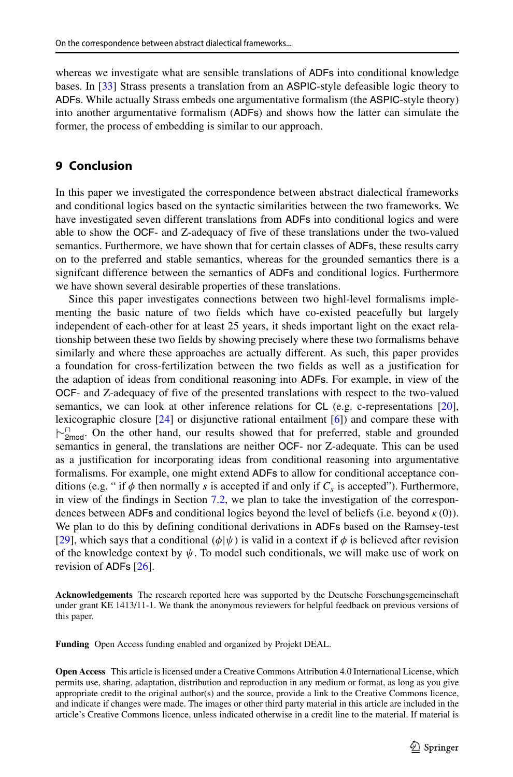whereas we investigate what are sensible translations of ADFs into conditional knowledge bases. In [\[33\]](#page-24-7) Strass presents a translation from an ASPIC-style defeasible logic theory to ADFs. While actually Strass embeds one argumentative formalism (the ASPIC-style theory) into another argumentative formalism (ADFs) and shows how the latter can simulate the former, the process of embedding is similar to our approach.

# <span id="page-22-0"></span>**9 Conclusion**

In this paper we investigated the correspondence between abstract dialectical frameworks and conditional logics based on the syntactic similarities between the two frameworks. We have investigated seven different translations from ADFs into conditional logics and were able to show the OCF- and Z-adequacy of five of these translations under the two-valued semantics. Furthermore, we have shown that for certain classes of ADFs, these results carry on to the preferred and stable semantics, whereas for the grounded semantics there is a signifcant difference between the semantics of ADFs and conditional logics. Furthermore we have shown several desirable properties of these translations.

Since this paper investigates connections between two highl-level formalisms implementing the basic nature of two fields which have co-existed peacefully but largely independent of each-other for at least 25 years, it sheds important light on the exact relationship between these two fields by showing precisely where these two formalisms behave similarly and where these approaches are actually different. As such, this paper provides a foundation for cross-fertilization between the two fields as well as a justification for the adaption of ideas from conditional reasoning into ADFs. For example, in view of the OCF- and Z-adequacy of five of the presented translations with respect to the two-valued semantics, we can look at other inference relations for CL (e.g. c-representations [\[20\]](#page-23-10), lexicographic closure [\[24\]](#page-23-23) or disjunctive rational entailment [\[6\]](#page-23-24)) and compare these with  $\uparrow$ <sup>1</sup><sub>2mod</sub>. On the other hand, our results showed that for preferred, stable and grounded semantics in general, the translations are neither OCF- nor Z-adequate. This can be used as a justification for incorporating ideas from conditional reasoning into argumentative formalisms. For example, one might extend ADFs to allow for conditional acceptance conditions (e.g. " if  $\phi$  then normally *s* is accepted if and only if  $C_s$  is accepted"). Furthermore, in view of the findings in Section [7.2,](#page-20-2) we plan to take the investigation of the correspondences between ADFs and conditional logics beyond the level of beliefs (i.e. beyond *κ(*0*)*). We plan to do this by defining conditional derivations in ADFs based on the Ramsey-test [\[29\]](#page-24-8), which says that a conditional  $(\phi | \psi)$  is valid in a context if  $\phi$  is believed after revision of the knowledge context by  $\psi$ . To model such conditionals, we will make use of work on revision of ADFs [\[26\]](#page-23-25).

**Acknowledgements** The research reported here was supported by the Deutsche Forschungsgemeinschaft under grant KE 1413/11-1. We thank the anonymous reviewers for helpful feedback on previous versions of this paper.

**Funding** Open Access funding enabled and organized by Projekt DEAL.

**Open Access** This article is licensed under a Creative Commons Attribution 4.0 International License, which permits use, sharing, adaptation, distribution and reproduction in any medium or format, as long as you give appropriate credit to the original author(s) and the source, provide a link to the Creative Commons licence, and indicate if changes were made. The images or other third party material in this article are included in the article's Creative Commons licence, unless indicated otherwise in a credit line to the material. If material is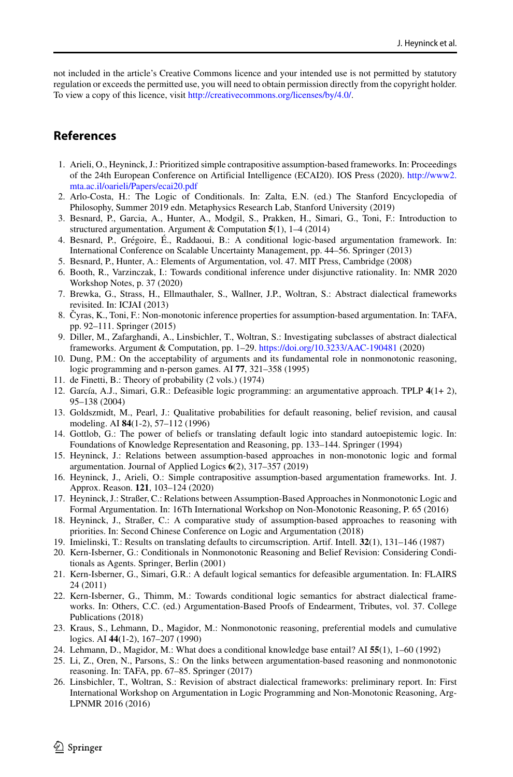not included in the article's Creative Commons licence and your intended use is not permitted by statutory regulation or exceeds the permitted use, you will need to obtain permission directly from the copyright holder. To view a copy of this licence, visit [http://creativecommons.org/licenses/by/4.0/.](http://creativecommons.org/licenses/by/4.0/)

# **References**

- <span id="page-23-16"></span>1. Arieli, O., Heyninck, J.: Prioritized simple contrapositive assumption-based frameworks. In: Proceedings of the 24th European Conference on Artificial Intelligence (ECAI20). IOS Press (2020). [http://www2.](http://www2.mta.ac.il/ oarieli/Papers/ecai20.pdf) [mta.ac.il/oarieli/Papers/ecai20.pdf](http://www2.mta.ac.il/ oarieli/Papers/ecai20.pdf)
- <span id="page-23-7"></span>2. Arlo-Costa, H.: The Logic of Conditionals. In: Zalta, E.N. (ed.) The Stanford Encyclopedia of Philosophy, Summer 2019 edn. Metaphysics Research Lab, Stanford University (2019)
- <span id="page-23-14"></span>3. Besnard, P., Garcia, A., Hunter, A., Modgil, S., Prakken, H., Simari, G., Toni, F.: Introduction to structured argumentation. Argument & Computation **5**(1), 1–4 (2014)
- <span id="page-23-21"></span>4. Besnard, P., Grégoire, E., Raddaoui, B.: A conditional logic-based argumentation framework. In: International Conference on Scalable Uncertainty Management, pp. 44–56. Springer (2013)
- <span id="page-23-22"></span>5. Besnard, P., Hunter, A.: Elements of Argumentation, vol. 47. MIT Press, Cambridge (2008)
- <span id="page-23-24"></span>6. Booth, R., Varzinczak, I.: Towards conditional inference under disjunctive rationality. In: NMR 2020 Workshop Notes, p. 37 (2020)
- <span id="page-23-4"></span>7. Brewka, G., Strass, H., Ellmauthaler, S., Wallner, J.P., Woltran, S.: Abstract dialectical frameworks revisited. In: ICJAI (2013)
- <span id="page-23-17"></span>8. Cyras, K., Toni, F.: Non-monotonic inference properties for assumption-based argumentation. In: TAFA, pp. 92–111. Springer (2015)
- <span id="page-23-11"></span>9. Diller, M., Zafarghandi, A., Linsbichler, T., Woltran, S.: Investigating subclasses of abstract dialectical frameworks. Argument & Computation, pp. 1–29. <https://doi.org/10.3233/AAC-190481> (2020)
- <span id="page-23-0"></span>10. Dung, P.M.: On the acceptability of arguments and its fundamental role in nonmonotonic reasoning, logic programming and n-person games. AI **77**, 321–358 (1995)
- <span id="page-23-9"></span>11. de Finetti, B.: Theory of probability (2 vols.) (1974)
- <span id="page-23-15"></span>12. Garc´ıa, A.J., Simari, G.R.: Defeasible logic programming: an argumentative approach. TPLP **4**(1+ 2), 95–138 (2004)
- <span id="page-23-5"></span>13. Goldszmidt, M., Pearl, J.: Qualitative probabilities for default reasoning, belief revision, and causal modeling. AI **84**(1-2), 57–112 (1996)
- <span id="page-23-12"></span>14. Gottlob, G.: The power of beliefs or translating default logic into standard autoepistemic logic. In: Foundations of Knowledge Representation and Reasoning, pp. 133–144. Springer (1994)
- <span id="page-23-1"></span>15. Heyninck, J.: Relations between assumption-based approaches in non-monotonic logic and formal argumentation. Journal of Applied Logics **6**(2), 317–357 (2019)
- <span id="page-23-18"></span>16. Heyninck, J., Arieli, O.: Simple contrapositive assumption-based argumentation frameworks. Int. J. Approx. Reason. **121**, 103–124 (2020)
- <span id="page-23-2"></span>17. Heyninck, J.: Straßer, C.: Relations between Assumption-Based Approaches in Nonmonotonic Logic and Formal Argumentation. In: 16Th International Workshop on Non-Monotonic Reasoning, P. 65 (2016)
- <span id="page-23-19"></span>18. Heyninck, J., Straßer, C.: A comparative study of assumption-based approaches to reasoning with priorities. In: Second Chinese Conference on Logic and Argumentation (2018)
- <span id="page-23-13"></span>19. Imielinski, T.: Results on translating defaults to circumscription. Artif. Intell. **32**(1), 131–146 (1987)
- <span id="page-23-10"></span>20. Kern-Isberner, G.: Conditionals in Nonmonotonic Reasoning and Belief Revision: Considering Conditionals as Agents. Springer, Berlin (2001)
- <span id="page-23-3"></span>21. Kern-Isberner, G., Simari, G.R.: A default logical semantics for defeasible argumentation. In: FLAIRS 24 (2011)
- <span id="page-23-6"></span>22. Kern-Isberner, G., Thimm, M.: Towards conditional logic semantics for abstract dialectical frameworks. In: Others, C.C. (ed.) Argumentation-Based Proofs of Endearment, Tributes, vol. 37. College Publications (2018)
- <span id="page-23-8"></span>23. Kraus, S., Lehmann, D., Magidor, M.: Nonmonotonic reasoning, preferential models and cumulative logics. AI **44**(1-2), 167–207 (1990)
- <span id="page-23-23"></span>24. Lehmann, D., Magidor, M.: What does a conditional knowledge base entail? AI **55**(1), 1–60 (1992)
- <span id="page-23-20"></span>25. Li, Z., Oren, N., Parsons, S.: On the links between argumentation-based reasoning and nonmonotonic reasoning. In: TAFA, pp. 67–85. Springer (2017)
- <span id="page-23-25"></span>26. Linsbichler, T., Woltran, S.: Revision of abstract dialectical frameworks: preliminary report. In: First International Workshop on Argumentation in Logic Programming and Non-Monotonic Reasoning, Arg-LPNMR 2016 (2016)